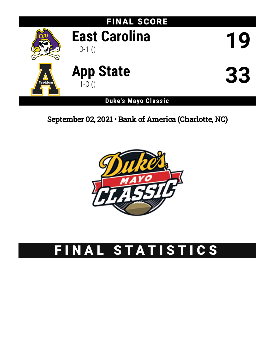

September 02, 2021 • Bank of America (Charlotte, NC)



# FINAL STATISTICS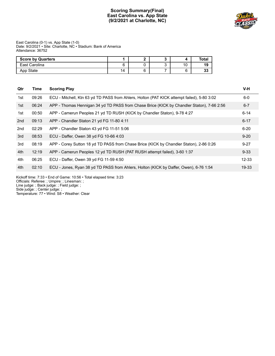# **Scoring Summary(Final) East Carolina vs. App State (9/2/2021 at Charlotte, NC)**



### East Carolina (0-1) vs. App State (1-0) Date: 9/2/2021 • Site: Charlotte, NC • Stadium: Bank of America Attendance: 36752

| <b>Score by Quarters</b> |    |  |    | Total           |
|--------------------------|----|--|----|-----------------|
| East Carolina            |    |  | 10 |                 |
| App State                | 14 |  |    | $\bullet$<br>J. |

| Qtr | Time  | <b>Scoring Play</b>                                                                        | V-H       |
|-----|-------|--------------------------------------------------------------------------------------------|-----------|
| 1st | 09:26 | ECU - Mitchell, Ktn 63 yd TD PASS from Ahlers, Holton (PAT KICK attempt failed), 5-80 3:02 | $6-0$     |
| 1st | 06:24 | APP - Thomas Hennigan 34 yd TD PASS from Chase Brice (KICK by Chandler Staton), 7-66 2:56  | $6 - 7$   |
| 1st | 00:50 | APP - Camerun Peoples 21 yd TD RUSH (KICK by Chandler Staton), 9-78 4:27                   | $6 - 14$  |
| 2nd | 09:13 | APP - Chandler Staton 21 yd FG 11-80 4:11                                                  | $6 - 17$  |
| 2nd | 02:29 | APP - Chandler Staton 43 yd FG 11-51 5:06                                                  | $6 - 20$  |
| 3rd | 08:53 | ECU - Daffer, Owen 38 yd FG 10-66 4:03                                                     | $9 - 20$  |
| 3rd | 08:19 | APP - Corey Sutton 18 yd TD PASS from Chase Brice (KICK by Chandler Staton), 2-86 0:26     | $9 - 27$  |
| 4th | 12:19 | APP - Camerun Peoples 12 yd TD RUSH (PAT RUSH attempt failed), 3-60 1:37                   | $9 - 33$  |
| 4th | 06:25 | ECU - Daffer, Owen 39 yd FG 11-59 4:50                                                     | $12 - 33$ |
| 4th | 02:10 | ECU - Jones, Ryan 38 yd TD PASS from Ahlers, Holton (KICK by Daffer, Owen), 6-76 1:54      | $19 - 33$ |
|     |       |                                                                                            |           |

Kickoff time: 7:33 • End of Game: 10:56 • Total elapsed time: 3:23

Officials: Referee: ; Umpire: ; Linesman: ;

Line judge: ; Back judge: ; Field judge: ;

Side judge: ; Center judge: ; Temperature: 77 • Wind: S8 • Weather: Clear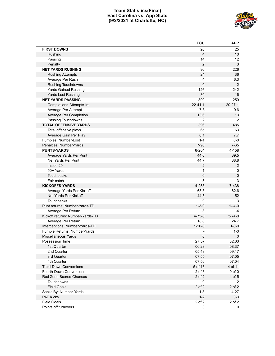# **Team Statistics(Final) East Carolina vs. App State (9/2/2021 at Charlotte, NC)**



|                                  | <b>ECU</b>     | <b>APP</b>     |
|----------------------------------|----------------|----------------|
| <b>FIRST DOWNS</b>               | 20             | 25             |
| Rushing                          | 4              | 10             |
| Passing                          | 14             | 12             |
| Penalty                          | $\overline{2}$ | $\mathbf{3}$   |
| <b>NET YARDS RUSHING</b>         | 96             | 226            |
| <b>Rushing Attempts</b>          | 24             | 36             |
| Average Per Rush                 | 4              | 6.3            |
| <b>Rushing Touchdowns</b>        | 0              | $\overline{2}$ |
| <b>Yards Gained Rushing</b>      | 126            | 242            |
| Yards Lost Rushing               | 30             | 16             |
| <b>NET YARDS PASSING</b>         | 300            | 259            |
| Completions-Attempts-Int         | $22 - 41 - 1$  | $20 - 27 - 1$  |
| Average Per Attempt              | 7.3            | 9.6            |
| Average Per Completion           | 13.6           | 13             |
| Passing Touchdowns               | $\overline{2}$ | $\overline{2}$ |
| <b>TOTAL OFFENSIVE YARDS</b>     | 396            | 485            |
| Total offensive plays            | 65             | 63             |
| Average Gain Per Play            | 6.1            | 7.7            |
| Fumbles: Number-Lost             | $1 - 1$        | $0-0$          |
| Penalties: Number-Yards          | $7 - 90$       | $7 - 65$       |
| <b>PUNTS-YARDS</b>               | 6-264          | 4-158          |
| Average Yards Per Punt           | 44.0           | 39.5           |
| Net Yards Per Punt               | 44.7           | 38.8           |
| Inside 20                        | $\overline{2}$ | $\sqrt{2}$     |
| 50+ Yards                        | 1              | 0              |
| Touchbacks                       | 0              | $\mathsf 0$    |
| Fair catch                       | 5              | 3              |
| <b>KICKOFFS-YARDS</b>            | 4-253          | 7-438          |
| Average Yards Per Kickoff        | 63.3           | 62.6           |
| Net Yards Per Kickoff            | 44.5           | 52             |
| <b>Touchbacks</b>                | 0              | 3              |
| Punt returns: Number-Yards-TD    | $1 - 3 - 0$    | $1 - 4 - 0$    |
| Average Per Return               | 3              | -4             |
| Kickoff returns: Number-Yards-TD | $4 - 75 - 0$   | $3 - 74 - 0$   |
| Average Per Return               | 18.8           | 24.7           |
| Interceptions: Number-Yards-TD   | $1 - 20 - 0$   | $1 - 0 - 0$    |
| Fumble Returns: Number-Yards     |                | $1 - 0$        |
| Miscellaneous Yards              | 0              | $\mathbf 0$    |
| Possession Time                  | 27:57          | 32:03          |
| 1st Quarter                      | 06:23          | 08:37          |
| 2nd Quarter                      | 05:43          | 09:17          |
| 3rd Quarter                      | 07:55          | 07:05          |
| 4th Quarter                      | 07:56          | 07:04          |
| <b>Third-Down Conversions</b>    | 5 of 16        | 4 of 11        |
| Fourth-Down Conversions          | 2 of 3         | $0$ of $0$     |
| Red Zone Scores-Chances          | 2 of 2         | 4 of 5         |
| Touchdowns                       | 0              | 2              |
| <b>Field Goals</b>               | 2 of 2         | 2 of 2         |
| Sacks By: Number-Yards           | $1 - 8$        | $4 - 27$       |
| <b>PAT Kicks</b>                 | $1 - 2$        | $3 - 3$        |
| <b>Field Goals</b>               | 2 of 2         | 2 of 2         |
| Points off turnovers             | 3              | 0              |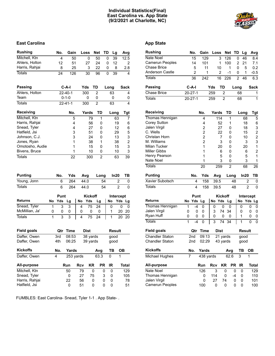### **Individual Statistics(Final) East Carolina vs. App State (9/2/2021 at Charlotte, NC)**



# **East Carolina App** State

| <b>Rushing</b>                 |        | No.    | Gain          |        | Loss           | Net                  | TD |        | Lg             | Avg                     |
|--------------------------------|--------|--------|---------------|--------|----------------|----------------------|----|--------|----------------|-------------------------|
| Mitchell, Ktn                  |        | 4      | 50            |        | 0              | 50                   | 0  |        | 39             | 12.5                    |
| Ahlers, Holton                 |        | 12     | 51            |        | 27             | 24                   | 0  |        | 12             | 2                       |
| Harris, Rahjai                 |        | 8      | 25            |        | 3              | 22                   | 0  |        | 8              | 2.8                     |
| <b>Totals</b>                  |        | 24     | 126           |        | 30             | 96                   | 0  |        | 39             | 4                       |
|                                |        |        |               |        |                |                      |    |        |                |                         |
| <b>Passing</b>                 |        |        | $C-A-I$       |        | Yds            | TD                   |    | Long   |                | Sack                    |
| Ahlers, Holton                 |        |        | $22 - 40 - 1$ |        | 300            | 2                    |    | 63     |                | 4                       |
| Team                           |        |        | $0 - 1 - 0$   |        | 0              | 0                    |    | 0      |                | 0                       |
| <b>Totals</b>                  |        |        | $22 - 41 - 1$ |        | 300            | $\overline{2}$       |    | 63     |                | 4                       |
| <b>Receiving</b>               |        |        | No.           |        | Yards          | TD                   |    | Long   |                | Tgt                     |
| Mitchell, Ktn                  |        |        | 5             |        | 79             | 1                    |    |        | 63             | 7                       |
| Harris, Rahjai                 |        |        | 4             |        | 56             | 0                    |    |        | 19             | 6                       |
| Snead, Tyler                   |        |        | 4             |        | 27             | 0                    |    |        | 12             | 6                       |
| Hatfield, Jsi                  |        |        | 3             |        | 51             | 0                    |    |        | 29             | 5                       |
| Johnson, C.J.                  |        |        | 3             |        | 24             | 0                    |    |        | 13             | 3                       |
| Jones, Ryan                    |        |        | 1             |        | 38             | 1                    |    |        | 38             | $\overline{\mathbf{c}}$ |
| Omotosho, Audie                |        |        | 1             |        | 15             | 0                    |    |        | 15             | 3                       |
| Bivens, Bruce                  |        |        | 1             |        | 10             | 0                    |    |        | 10             | 3                       |
| <b>Totals</b>                  |        |        | 22            |        | 300            | $\overline{2}$       |    |        | 63             | 39                      |
|                                |        |        |               |        |                |                      |    |        |                |                         |
|                                |        |        |               |        |                |                      |    |        |                |                         |
| <b>Punting</b>                 |        | No.    | Yds           |        | Avg            | Long                 |    |        | ln20           | TВ                      |
| Young, Jonn                    |        | 6      | 264           |        | 44.0           |                      | 54 |        | $\overline{c}$ | 0                       |
| <b>Totals</b>                  |        | 6      | 264           |        | 44.0           |                      | 54 |        | $\overline{2}$ | 0                       |
|                                |        | Punt   |               |        | <b>Kickoff</b> |                      |    |        |                |                         |
| <b>Returns</b>                 | No     | Yds    |               | No     | Yds            |                      |    | No     | Intercept      |                         |
|                                |        |        | Lg            |        |                | Lg                   |    |        | Yds            | Lg                      |
| Snead, Tyler<br>McMillian, Ja' | 1<br>0 | 3<br>0 | 3<br>0        | 4<br>0 | 75<br>0        | $\overline{24}$<br>0 |    | 0<br>1 | 0              | 0<br>20                 |
| <b>Totals</b>                  | 1      | 3      | 3             | 4      | 75             | 24                   |    | 1      | 20<br>20       | 20                      |
|                                |        |        |               |        |                |                      |    |        |                |                         |
| <b>Field goals</b>             |        |        | Qtr Time      |        | Dist           |                      |    |        | Result         |                         |
| Daffer, Owen                   |        | 3rd    | 08:53         |        | 38 yards       |                      |    | good   |                |                         |
| Daffer, Owen                   |        | 4th    | 06:25         |        | 39 yards       |                      |    | good   |                |                         |
| <b>Kickoffs</b>                |        | No.    | <b>Yards</b>  |        |                | Avg                  |    | TB     | <b>OB</b>      |                         |
| Daffer, Owen                   |        | 4      | 253 yards     |        |                | 63.3                 |    | 0      | 1              |                         |
| All-purpose                    |        |        | Run           | Rcv    | <b>KR</b>      | <b>PR</b>            |    | IR     |                | <b>Total</b>            |
| Mitchell, Ktn                  |        |        | 50            | 79     |                | 0                    | 0  | 0      |                | 129                     |
| Snead, Tyler                   |        |        | 0             | 27     | 75             |                      | 3  | 0      |                | 105                     |
| Harris, Rahjai                 |        |        | 22            | 56     |                | 0                    | 0  | 0      |                | 78                      |

FUMBLES: East Carolina- Snead, Tyler 1-1 . App State- .

| <b>Rushing</b>         |              | No.           | Gain           | Loss  |                | Net            | TD        |                | Lg             | Avg            |
|------------------------|--------------|---------------|----------------|-------|----------------|----------------|-----------|----------------|----------------|----------------|
| Nate Noel              |              | 15            | 129            |       | 3              | 126            |           | 0              | 46             | 8.4            |
| <b>Camerun Peoples</b> |              | 14            | 101            |       | 1              | 100            |           | 2              | 21             | 7.1            |
| Chase Brice            |              | 5             | 11             |       | 10             | 1              |           | 0              | 5              | 0.2            |
| <b>Anderson Castle</b> |              | 2             | 1              |       | 2              | -1             |           | 0              | 1              | $-0.5$         |
| <b>Totals</b>          |              | 36            | 242            |       | 16             | 226            |           | $\overline{2}$ | 46             | 6.3            |
| Passing                |              | $C-A-I$       |                | Yds   | TD             |                | Long      |                |                | Sack           |
| <b>Chase Brice</b>     |              | $20 - 27 - 1$ |                | 259   | 2              |                |           | 68             |                | 1              |
| <b>Totals</b>          |              | $20 - 27 - 1$ |                | 259   | $\overline{2}$ |                |           | 68             |                | 1              |
| <b>Receiving</b>       |              |               | No.            | Yards |                | TD             |           | Long           |                | Tgt            |
| Thomas Hennigan        |              |               | 4              |       | 114            | 1              |           |                | 68             | 5              |
| Corey Sutton           |              |               | 4              |       | 52             | 1              |           |                | 18             | 6              |
| Jalen Virgil           |              |               | $\overline{2}$ |       | 27             | 0              |           |                | 18             | 3              |
| C. Wells               |              |               | 2              |       | 22             | 0              |           |                | 15             | $\overline{c}$ |
| Christan Horn          |              |               | 2              |       | 7              | 0              |           |                | 10             | 2              |
| M. Williams            |              |               | $\overline{2}$ |       | 3              | 0              |           |                | 3              | 3              |
| Milan Tucker           |              |               | 1              |       | 20             | 0              |           |                | 20             | 1              |
| <b>Miller Gibbs</b>    |              |               | 1              |       | 6              | 0              |           |                | 6              | 2              |
| Henry Pearson          |              |               | 1              |       | 5              | 0              |           |                | 5              | 1              |
| Nate Noel              |              |               | 1              |       | 3              | 0              |           |                | 3              | $\mathbf{1}$   |
| Totals                 |              |               | 20             |       | 259            | $\overline{2}$ |           |                | 68             | 26             |
| <b>Punting</b>         |              | No.           | Yds            |       | Avg            | Long           |           |                | In20           | TВ             |
| <b>Xavier Subotsch</b> |              | 4             | 158            |       | 39.5           |                | 48        |                | 2              | 0              |
| <b>Totals</b>          |              | 4             | 158            |       | 39.5           |                | 48        |                | $\overline{2}$ | 0              |
|                        |              | Punt          |                |       | Kickoff        |                |           |                | Intercept      |                |
| <b>Returns</b>         | No           | Yds           | Lg             | No    | Yds            | Lg             |           | No             |                | Yds Lg         |
| Thomas Hennigan        | 1            | $-4$          | 0              | 0     | 0              | 0              |           | 0              |                | 0<br>0         |
| Jalen Virgil           | 0            | 0             | 0              | 3     | 74             | 34             |           | 0              |                | 0<br>0         |
| Ryan Huff              | 0            | 0             | 0              | 0     | 0              | 0              |           | 1              |                | 0<br>0         |
| Totals                 | $\mathbf{1}$ | $-4$          | 0              | 3     | 74             | 34             |           | $\mathbf{1}$   |                | 0<br>0         |
| <b>Field goals</b>     |              | Qtr           | Time           |       | Dist           |                |           |                | Result         |                |
| <b>Chandler Staton</b> |              | 2nd           | 09:13          |       | 21 yards       |                |           |                | good           |                |
| <b>Chandler Staton</b> |              | 2nd           | 02:29          |       | 43 yards       |                |           |                | good           |                |
| <b>Kickoffs</b>        |              | No.           | Yards          |       |                | Avg            |           | TB             |                | OВ             |
| Michael Hughes         | 7            |               | 438 yards      |       |                | 62.6           |           | 3              | 1              |                |
| All-purpose            |              |               | Run            | Rcv   | KR             |                | <b>PR</b> | IR             |                | <b>Total</b>   |
| <b>Nate Noel</b>       |              |               | 126            | 3     |                | 0              | 0         | 0              |                | 129            |
| Thomas Hennigan        |              |               | 0              | 114   |                | 0              | $-4$      | 0              |                | 110            |
| Jalen Virgil           |              |               | 0              | 27    | 74             |                | 0         | 0              |                | 101            |
| Camerun Peoples        |              |               | 100            | 0     |                | 0              | 0         | 0              |                | 100            |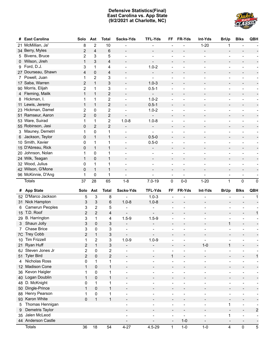# **Defensive Statistics(Final) East Carolina vs. App State (9/2/2021 at Charlotte, NC)**



| #              | <b>East Carolina</b> | Solo                    | Ast              | <b>Total</b>            | Sacks-Yds                    | <b>TFL-Yds</b>               | FF                       | FR-Yds                   | Int-Yds                  | <b>BrUp</b>              | <b>Blks</b>                  | QBH                      |
|----------------|----------------------|-------------------------|------------------|-------------------------|------------------------------|------------------------------|--------------------------|--------------------------|--------------------------|--------------------------|------------------------------|--------------------------|
| 21             | McMillian, Ja'       | 8                       | $\overline{2}$   | 10                      |                              |                              |                          |                          | $1 - 20$                 | 1                        |                              |                          |
|                | 34 Berry, Myles      | $\overline{\mathbf{c}}$ | 4                | 6                       | $\overline{\phantom{a}}$     |                              |                          |                          | $\overline{a}$           | $\overline{\phantom{a}}$ |                              |                          |
| 5.             | Bivens, Bruce        | 2                       | 3                | 5                       |                              |                              |                          |                          |                          |                          |                              |                          |
| 0              | Wilson, Jireh        | $\mathbf{1}$            | 3                | $\overline{4}$          | $\overline{\phantom{a}}$     |                              |                          |                          |                          | $\overline{\phantom{a}}$ |                              |                          |
| 9              | Ford, D.J.           | 3                       | 1                | 4                       |                              | $1.0 - 2$                    |                          |                          |                          | $\overline{a}$           |                              |                          |
|                | 27 Dourseau, Shawn   | 4                       | 0                | $\overline{4}$          |                              | $\overline{\phantom{0}}$     | $\overline{\phantom{m}}$ |                          |                          | $\overline{\phantom{a}}$ |                              |                          |
| $7^{\circ}$    | Powell, Juan         | 1                       | $\overline{2}$   | 3                       |                              | $\overline{a}$               |                          |                          |                          | $\overline{a}$           |                              |                          |
|                | 17 Saba, Warren      | 2                       | $\mathbf{1}$     | 3                       |                              | $1.0 - 3$                    |                          |                          |                          | $\overline{\phantom{a}}$ |                              |                          |
|                | 90 Morris, Elijah    | 2                       | 1                | 3                       |                              | $0.5 - 1$                    | ÷                        |                          |                          | $\overline{a}$           |                              |                          |
| $\overline{4}$ | Fleming, Malik       | $\mathbf{1}$            | $\mathbf{1}$     | $\overline{c}$          |                              |                              | $\overline{\phantom{m}}$ |                          |                          | $\overline{\phantom{a}}$ |                              |                          |
| 8              | Hickman, I.          | 1                       | 1                | $\overline{c}$          |                              | $1.0 - 2$                    |                          |                          |                          | $\overline{a}$           |                              |                          |
|                | 11 Lewis, Jeremy     | $\mathbf{1}$            | $\mathbf{1}$     | $\overline{c}$          | $\overline{\phantom{a}}$     | $0.5 - 1$                    | $\overline{a}$           |                          |                          | $\overline{\phantom{a}}$ |                              |                          |
|                | 23 Hickman, Damel    | 2                       | 0                | 2                       |                              | $1.0 - 2$                    | $\overline{a}$           |                          |                          | $\overline{a}$           |                              |                          |
|                | 51 Ramseur, Aaron    | $\overline{2}$          | $\pmb{0}$        | $\overline{c}$          |                              | $\overline{\phantom{a}}$     | $\overline{\phantom{m}}$ |                          |                          | $\overline{\phantom{a}}$ |                              |                          |
|                | 53 Ware, Suirad      | 1                       | 1                | 2                       | $1.0 - 8$                    | $1.0 - 8$                    | $\overline{a}$           |                          |                          | $\overline{a}$           |                              |                          |
|                | 55 Robinson, Jasi    | 0                       | $\overline{2}$   | $\overline{c}$          | $\overline{\phantom{a}}$     | $\overline{\phantom{a}}$     | $\overline{\phantom{a}}$ |                          |                          | $\overline{\phantom{a}}$ |                              |                          |
| 3.             | Mauney, Demetri      | 1                       | 0                | 1                       |                              | $\overline{a}$               |                          |                          |                          | $\overline{a}$           |                              |                          |
| 6              | Jackson, Teylor      | 0                       | $\mathbf{1}$     | $\mathbf{1}$            | $\overline{\phantom{a}}$     | $0.5 - 0$                    | $\overline{\phantom{m}}$ |                          |                          | $\overline{\phantom{a}}$ |                              |                          |
|                | 10 Smith, Xavier     | 0                       | 1                | 1                       |                              | $0.5 - 0$                    | $\overline{a}$           |                          |                          | $\overline{a}$           |                              |                          |
|                | 15 D'Abreau, Rick    | 0                       | $\mathbf{1}$     | $\mathbf{1}$            | $\overline{\phantom{a}}$     | $\overline{\phantom{0}}$     | $\overline{\phantom{a}}$ |                          |                          | $\overline{\phantom{a}}$ | $\overline{\phantom{a}}$     |                          |
|                | 20 Johnson, Nolan    | 1                       | 0                | 1                       |                              |                              | $\overline{\phantom{0}}$ |                          |                          |                          |                              |                          |
|                | 24 Wilk, Teagan      | $\mathbf{1}$            | $\pmb{0}$        | $\mathbf{1}$            | $\overline{\phantom{a}}$     | $\overline{\phantom{0}}$     | $\overline{\phantom{a}}$ |                          |                          | $\overline{\phantom{a}}$ |                              |                          |
|                | 32 Wood, Julius      | 0                       | 1                | 1                       |                              |                              | ÷                        |                          |                          |                          |                              |                          |
|                | 42 Wilson, G'Mone    | 0                       | $\mathbf{1}$     | $\mathbf{1}$            | $\overline{\phantom{a}}$     | $\overline{\phantom{0}}$     | $\overline{\phantom{a}}$ | $\overline{a}$           | $\overline{\phantom{a}}$ | $\overline{\phantom{a}}$ | $\overline{\phantom{a}}$     |                          |
|                | 96 McKinnie, D'Ang   | 1                       | 0                | 1                       |                              | $\overline{a}$               | $\overline{\phantom{a}}$ | $\overline{a}$           | $\overline{a}$           |                          | $\overline{\phantom{0}}$     |                          |
|                | <b>Totals</b>        | 37                      | 28               | 65                      | $1 - 8$                      | $7.0 - 19$                   | $\pmb{0}$                | $0-0$                    | $1 - 20$                 | $\mathbf{1}$             | 0                            | $\pmb{0}$                |
|                |                      |                         |                  |                         |                              |                              |                          |                          |                          |                          |                              |                          |
|                |                      |                         |                  |                         |                              |                              |                          |                          |                          |                          |                              |                          |
| #              | <b>App State</b>     | Solo                    | Ast              | <b>Total</b>            | Sacks-Yds                    | <b>TFL-Yds</b>               | FF                       | FR-Yds                   | Int-Yds                  | <b>BrUp</b>              | <b>Blks</b>                  | QBH                      |
| 52             | D'Marco Jackson      | 5                       | $\mathsf 3$      | 8                       | $\overline{\phantom{0}}$     | $1.0 - 3$                    |                          |                          |                          |                          |                              | 1                        |
| 31             | Nick Hampton         | 3                       | 3                | 6                       | $1.0 - 8$                    | $1.0 - 8$                    | $\overline{\phantom{a}}$ | $\overline{\phantom{a}}$ | $\overline{\phantom{a}}$ | $\overline{\phantom{a}}$ |                              |                          |
| 6              | Camerun Peoples      | 3                       | $\overline{2}$   | 5                       |                              | $\overline{a}$               | $\overline{a}$           |                          |                          |                          |                              |                          |
| 15             | T.D. Roof            | $\overline{c}$          | $\overline{2}$   | $\overline{4}$          |                              | $\overline{\phantom{a}}$     | $\overline{\phantom{a}}$ | $\overline{\phantom{a}}$ | $\overline{\phantom{a}}$ | $\overline{\phantom{a}}$ | $\overline{\phantom{a}}$     | 1                        |
| 29             | <b>B.</b> Harrington | 3                       | $\mathbf{1}$     | 4                       | $1.5 - 9$                    | $1.5 - 9$                    | $\overline{a}$           |                          |                          |                          | $\overline{\phantom{a}}$     |                          |
| 3              | Shaun Jolly          | 3                       | $\mathbf 0$      | 3                       | $\overline{\phantom{a}}$     | $\overline{\phantom{a}}$     | $\overline{\phantom{a}}$ | $\overline{\phantom{a}}$ | $\overline{\phantom{a}}$ | $\mathbf{1}$             | $\overline{\phantom{a}}$     |                          |
| 7              | Chase Brice          | 3                       | 0                | 3                       |                              |                              |                          |                          |                          |                          |                              |                          |
|                | 7C Trey Cobb         | $\overline{c}$          | $\mathbf{1}$     | 3                       | $\overline{\phantom{0}}$     |                              |                          |                          |                          |                          |                              |                          |
| 10             | <b>Tim Frizzell</b>  | 1                       | $\boldsymbol{2}$ | 3                       | $1.0 - 9$                    | $1.0 - 9$                    |                          |                          |                          |                          |                              |                          |
| 21             | Ryan Huff            | $\overline{c}$          | $\mathbf{1}$     | 3                       | $\overline{\phantom{0}}$     | $\overline{\phantom{a}}$     | $\overline{\phantom{a}}$ | $\overline{\phantom{a}}$ | $1 - 0$                  | $\mathbf{1}$             | $\overline{\phantom{a}}$     |                          |
| 6J             | Steven Jones Jr      | $\overline{\mathbf{c}}$ | $\mathbf 0$      | 2                       | $\blacksquare$               | $\overline{a}$               | $\frac{1}{2}$            | $\overline{\phantom{0}}$ | $\blacksquare$           | $\overline{\phantom{a}}$ | $\qquad \qquad \blacksquare$ |                          |
| 51             | <b>Tyler Bird</b>    | $\overline{2}$          | $\mathbf 0$      | $\overline{\mathbf{c}}$ | $\qquad \qquad -$            | $\qquad \qquad \blacksquare$ | $\mathbf{1}$             | $\overline{\phantom{a}}$ | $\overline{\phantom{a}}$ | $\overline{\phantom{a}}$ | $\blacksquare$               | $\mathbf{1}$             |
| 4              | Nicholas Ross        | 0                       | $\mathbf{1}$     | 1                       | $\frac{1}{2}$                | $\blacksquare$               | $\frac{1}{2}$            | $\overline{\phantom{0}}$ | $\qquad \qquad -$        | $\overline{\phantom{a}}$ | $\overline{\phantom{a}}$     | $\overline{\phantom{a}}$ |
| 12             | <b>Madison Cone</b>  | $\mathbf{1}$            | $\pmb{0}$        | $\mathbf{1}$            | $\blacksquare$               | $\qquad \qquad \blacksquare$ | $\overline{\phantom{a}}$ | $\overline{\phantom{a}}$ | $\overline{\phantom{a}}$ | $\overline{\phantom{a}}$ | $\overline{\phantom{a}}$     |                          |
| 36             | Kevon Haigler        | 1                       | 0                | 1                       | $\blacksquare$               | $\blacksquare$               | $\blacksquare$           | $\overline{\phantom{a}}$ | $\qquad \qquad -$        | $\overline{\phantom{a}}$ | $\overline{\phantom{a}}$     | -                        |
| 40             | Logan Doublin        | $\mathbf{1}$            | $\pmb{0}$        | $\mathbf{1}$            | $\overline{\phantom{a}}$     | $\overline{\phantom{a}}$     | $\overline{\phantom{a}}$ | $\overline{\phantom{a}}$ | $\overline{\phantom{a}}$ | $\overline{\phantom{a}}$ | $\overline{\phantom{a}}$     | ÷,                       |
| 48             | D. McKnight          | 0                       | $\mathbf{1}$     | 1                       | $\blacksquare$               | $\blacksquare$               | $\blacksquare$           | $\overline{\phantom{a}}$ | $\blacksquare$           | $\overline{\phantom{0}}$ | $\overline{\phantom{a}}$     | $\overline{\phantom{a}}$ |
| 50             | Dingle-Prince        | $\mathbf{1}$            | $\pmb{0}$        | $\mathbf{1}$            | $\overline{\phantom{a}}$     | $\overline{\phantom{a}}$     | $\overline{\phantom{a}}$ | $\overline{\phantom{a}}$ | $\overline{\phantom{a}}$ | $\overline{\phantom{a}}$ | $\overline{\phantom{a}}$     | ÷,                       |
| 88             | Henry Pearson        | 1                       | $\pmb{0}$        | 1                       | $\blacksquare$               | $\blacksquare$               | $\blacksquare$           | $\overline{\phantom{a}}$ | $\blacksquare$           | $\overline{\phantom{a}}$ | $\overline{\phantom{a}}$     | $\overline{\phantom{a}}$ |
| 93             | Karon White          | 0                       | $\mathbf{1}$     | $\mathbf{1}$            | $\qquad \qquad -$            | $\qquad \qquad \blacksquare$ | $\overline{\phantom{a}}$ | $\overline{\phantom{a}}$ | $\overline{\phantom{a}}$ | $\overline{\phantom{a}}$ | $\overline{\phantom{a}}$     | $\overline{a}$           |
| 5              | Thomas Hennigan      |                         |                  |                         | $\overline{a}$               | $\qquad \qquad -$            | $\blacksquare$           | $\overline{\phantom{a}}$ | $\blacksquare$           | $\mathbf{1}$             | $\blacksquare$               | $\overline{\phantom{a}}$ |
| 9              | Demetris Taylor      |                         |                  |                         | $\qquad \qquad \blacksquare$ | $\overline{\phantom{a}}$     | $\overline{\phantom{a}}$ | $\overline{\phantom{a}}$ | $\overline{\phantom{a}}$ | $\overline{\phantom{a}}$ | $\blacksquare$               | $\overline{\mathbf{c}}$  |
| 35             | Jalen McLeod         |                         |                  |                         | $\overline{a}$               | $\blacksquare$               | $\overline{\phantom{a}}$ | $\overline{\phantom{a}}$ | $\overline{a}$           | 1                        | $\overline{\phantom{a}}$     | $\overline{\phantom{a}}$ |
|                | 44 Anderson Castle   |                         |                  |                         | $\overline{\phantom{0}}$     | $\overline{\phantom{a}}$     | $\overline{\phantom{a}}$ | $1 - 0$                  | $\overline{\phantom{a}}$ | $\overline{\phantom{a}}$ | $\overline{\phantom{a}}$     | $\overline{\phantom{a}}$ |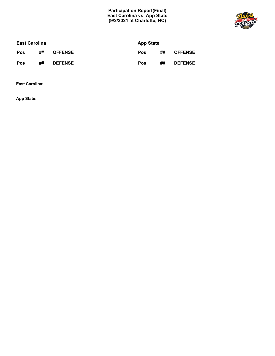# **Participation Report(Final) East Carolina vs. App State (9/2/2021 at Charlotte, NC)**



| <b>East Carolina</b> |    |                | <b>App State</b> |    |                |
|----------------------|----|----------------|------------------|----|----------------|
| Pos                  | ## | <b>OFFENSE</b> | Pos              | ## | <b>OFFENSE</b> |
| Pos                  | ## | <b>DEFENSE</b> | Pos              | ## | <b>DEFENSE</b> |

**East Carolina:**

**App State:**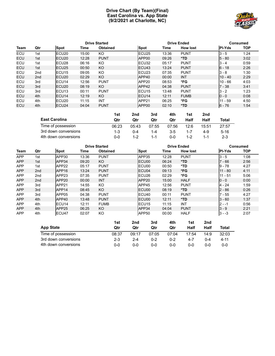# **Drive Chart (By Team)(Final) East Carolina vs. App State (9/2/2021 at Charlotte, NC)**



|            |     |                   |       | <b>Drive Started</b> |                    |       | <b>Drive Ended</b> |               | Consumed   |
|------------|-----|-------------------|-------|----------------------|--------------------|-------|--------------------|---------------|------------|
| Team       | Qtr | Spot              | Time  | <b>Obtained</b>      | Spot               | Time  | <b>How lost</b>    | <b>PI-Yds</b> | <b>TOP</b> |
| <b>ECU</b> | 1st | ECU <sub>20</sub> | 15:00 | KO                   | ECU <sub>25</sub>  | 13:36 | <b>PUNT</b>        | $3 - 5$       | 1:24       |
| <b>ECU</b> | 1st | ECU <sub>20</sub> | 12:28 | <b>PUNT</b>          | APP <sub>00</sub>  | 09:26 | *TD                | $5 - 80$      | 3:02       |
| <b>ECU</b> | 1st | ECU <sub>28</sub> | 06:16 | KO                   | ECU32              | 05:17 | <b>PUNT</b>        | $3 - 4$       | 0:59       |
| <b>ECU</b> | 1st | ECU <sub>25</sub> | 00:50 | KO                   | <b>IECU43</b>      | 13:24 | <b>PUNT</b>        | $6 - 18$      | 2:26       |
| <b>ECU</b> | 2nd | ECU <sub>15</sub> | 09:05 | KO                   | ECU <sub>23</sub>  | 07:35 | <b>PUNT</b>        | $3 - 8$       | 1:30       |
| <b>ECU</b> | 2nd | ECU <sub>20</sub> | 02:29 | KO                   | APP40              | 00:00 | <b>INT</b>         | $10 - 40$     | 2:29       |
| <b>ECU</b> | 3rd | ECU <sub>14</sub> | 12:56 | <b>PUNT</b>          | APP <sub>20</sub>  | 08:53 | *FG                | $10 - 66$     | 4:03       |
| <b>ECU</b> | 3rd | ECU <sub>20</sub> | 08:19 | KO                   | APP42              | 04:38 | <b>PUNT</b>        | $7 - 38$      | 3:41       |
| <b>ECU</b> | 3rd | ECU <sub>13</sub> | 00:11 | <b>PUNT</b>          | IECU <sub>15</sub> | 13:48 | <b>PUNT</b>        | $3 - 2$       | 1:23       |
| <b>ECU</b> | 4th | ECU14             | 12:19 | KO                   | ECU <sub>14</sub>  | 12:11 | <b>FUMB</b>        | $0 - 0$       | 0:08       |
| ECU        | 4th | ECU <sub>20</sub> | 11:15 | INT                  | APP <sub>21</sub>  | 06:25 | *FG                | $11 - 59$     | 4:50       |
| ECU        | 4th | ECU <sub>24</sub> | 04:04 | <b>PUNT</b>          | APP00              | 02:10 | $*TD$              | $6 - 76$      | 1:54       |

| <b>East Carolina</b> | 1st<br>Qtr | 2nd<br>Qtr | 3rd<br>Qtr | 4th<br>Qtr | 1st<br>Half | 2nd<br>Half | Total    |
|----------------------|------------|------------|------------|------------|-------------|-------------|----------|
| Time of possession   | 06:23      | 05:43      | 07:55      | 07:56      | 12:6        | 15:51       | 27:57    |
| 3rd down conversions | 1-3        | $0 - 4$    | 1-4        | $3-5$      | $1 - 7$     | $4 - 9$     | $5 - 16$ |
| 4th down conversions | ი-ი        | $1 - 2$    | 1-1        | ი-ი        | $1 - 2$     |             | $2 - 3$  |

|            |     |                   |       | <b>Drive Started</b> |                   |       | <b>Drive Ended</b> |               | <b>Consumed</b> |
|------------|-----|-------------------|-------|----------------------|-------------------|-------|--------------------|---------------|-----------------|
| Team       | Qtr | Spot              | Time  | <b>Obtained</b>      | Spot              | Time  | <b>How lost</b>    | <b>PI-Yds</b> | <b>TOP</b>      |
| <b>APP</b> | 1st | APP30             | 13:36 | <b>PUNT</b>          | APP35             | 12:28 | <b>PUNT</b>        | $3 - 5$       | 1:08            |
| <b>APP</b> | 1st | APP34             | 09:20 | KO.                  | ECU00             | 06:24 | $*TD$              | $7 - 66$      | 2:56            |
| <b>APP</b> | 1st | APP22             | 05:17 | <b>PUNT</b>          | ECU00             | 00:50 | *TD                | $9 - 78$      | 4:27            |
| <b>APP</b> | 2nd | APP <sub>16</sub> | 13:24 | <b>PUNT</b>          | ECU04             | 09:13 | *FG                | $11 - 80$     | 4:11            |
| <b>APP</b> | 2nd | APP23             | 07:35 | <b>PUNT</b>          | ECU <sub>26</sub> | 02:29 | *FG                | $11 - 51$     | 5:06            |
| <b>APP</b> | 2nd | APP <sub>20</sub> | 00:00 | <b>INT</b>           | APP <sub>20</sub> | 15:00 | <b>HALF</b>        | $0 - 0$       | 0:00            |
| <b>APP</b> | 3rd | APP21             | 14:55 | KO                   | APP45             | 12:56 | <b>PUNT</b>        | $4 - 24$      | 1:59            |
| <b>APP</b> | 3rd | APP <sub>14</sub> | 08:45 | KO                   | ECU00             | 08:19 | *TD                | $2 - 86$      | 0:26            |
| <b>APP</b> | 3rd | APP05             | 04:38 | <b>PUNT</b>          | ECU <sub>40</sub> | 00:11 | <b>PUNT</b>        | $7 - 55$      | 4:27            |
| <b>APP</b> | 4th | APP40             | 13:48 | <b>PUNT</b>          | ECU00             | 12:11 | *TD                | $3 - 60$      | 1:37            |
| <b>APP</b> | 4th | ECU <sub>14</sub> | 12:11 | <b>FUMB</b>          | ECU <sub>15</sub> | 11:15 | INT                | $2 - -1$      | 0:56            |
| <b>APP</b> | 4th | APP25             | 06:25 | KO                   | APP34             | 04:04 | <b>PUNT</b>        | $ 3 - 9 $     | 2:21            |
| <b>APP</b> | 4th | ECU <sub>47</sub> | 02:07 | KO                   | APP50             | 00:00 | <b>HALF</b>        | $ 3 - -3 $    | 2:07            |

|                      | 1st     | 2nd     | 3rd     | 4th   | 1st   | 2nd  |       |
|----------------------|---------|---------|---------|-------|-------|------|-------|
| <b>App State</b>     | Qtr     | Qtr     | Qtr     | Qtr   | Half  | Half | Total |
| Time of possession   | 08:37   | 09:17   | 07:05   | 07:04 | 17:54 | 14:9 | 32:03 |
| 3rd down conversions | $2 - 3$ | $2 - 4$ | $0 - 2$ | 0-2   | 4-7   | በ-4  | 4-11  |
| 4th down conversions | 0-0     | $0 - 0$ | 0-0     | 0-0   | 0-0   | ი-ი  | 0-0   |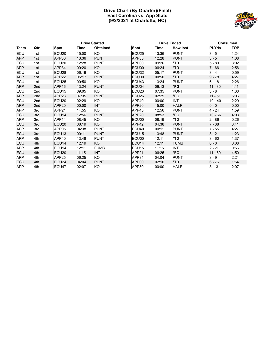### **Drive Chart (By Quarter)(Final) East Carolina vs. App State (9/2/2021 at Charlotte, NC)**



|            |                 | <b>Drive Started</b> |       |                 |                   | <b>Drive Ended</b> |                 | <b>Consumed</b> |            |
|------------|-----------------|----------------------|-------|-----------------|-------------------|--------------------|-----------------|-----------------|------------|
| Team       | Qtr             | Spot                 | Time  | <b>Obtained</b> | <b>Spot</b>       | Time               | <b>How lost</b> | <b>PI-Yds</b>   | <b>TOP</b> |
| ECU        | 1st             | ECU <sub>20</sub>    | 15:00 | <b>KO</b>       | ECU <sub>25</sub> | 13:36              | <b>PUNT</b>     | $3 - 5$         | 1:24       |
| <b>APP</b> | 1st             | APP30                | 13:36 | <b>PUNT</b>     | APP35             | 12:28              | <b>PUNT</b>     | $3 - 5$         | 1:08       |
| ECU        | 1st             | ECU <sub>20</sub>    | 12:28 | <b>PUNT</b>     | APP <sub>00</sub> | 09:26              | *TD             | $5 - 80$        | 3:02       |
| <b>APP</b> | 1st             | APP34                | 09:20 | KO.             | ECU00             | 06:24              | $*TD$           | $7 - 66$        | 2:56       |
| ECU        | 1st             | ECU <sub>28</sub>    | 06:16 | <b>KO</b>       | ECU32             | 05:17              | <b>PUNT</b>     | $3 - 4$         | 0:59       |
| <b>APP</b> | 1st             | APP22                | 05:17 | <b>PUNT</b>     | ECU00             | 00:50              | $*TD$           | $9 - 78$        | 4:27       |
| ECU        | 1st             | ECU <sub>25</sub>    | 00:50 | KO.             | ECU <sub>43</sub> | 13:24              | <b>PUNT</b>     | $6 - 18$        | 2:26       |
| <b>APP</b> | 2nd             | APP16                | 13:24 | <b>PUNT</b>     | ECU04             | 09:13              | $*FG$           | $11 - 80$       | 4:11       |
| ECU        | 2 <sub>nd</sub> | ECU <sub>15</sub>    | 09:05 | KO              | ECU <sub>23</sub> | 07:35              | <b>PUNT</b>     | $3 - 8$         | 1:30       |
| <b>APP</b> | 2 <sub>nd</sub> | APP <sub>23</sub>    | 07:35 | <b>PUNT</b>     | ECU <sub>26</sub> | 02:29              | *FG             | $11 - 51$       | 5:06       |
| ECU        | 2 <sub>nd</sub> | ECU <sub>20</sub>    | 02:29 | KO.             | APP40             | 00:00              | <b>INT</b>      | $10 - 40$       | 2:29       |
| <b>APP</b> | 2 <sub>nd</sub> | APP20                | 00:00 | <b>INT</b>      | APP <sub>20</sub> | 15:00              | <b>HALF</b>     | $0 - 0$         | 0:00       |
| <b>APP</b> | 3rd             | APP21                | 14:55 | KO.             | APP45             | 12:56              | <b>PUNT</b>     | $4 - 24$        | 1:59       |
| <b>ECU</b> | 3rd             | ECU14                | 12:56 | <b>PUNT</b>     | APP <sub>20</sub> | 08:53              | *FG             | $10 - 66$       | 4:03       |
| <b>APP</b> | 3rd             | APP14                | 08:45 | KO.             | ECU00             | 08:19              | *TD             | $2 - 86$        | 0:26       |
| <b>ECU</b> | 3rd             | ECU <sub>20</sub>    | 08:19 | KO.             | APP42             | 04:38              | <b>PUNT</b>     | $7 - 38$        | 3:41       |
| <b>APP</b> | 3rd             | APP05                | 04:38 | <b>PUNT</b>     | ECU <sub>40</sub> | 00:11              | <b>PUNT</b>     | $7 - 55$        | 4:27       |
| <b>ECU</b> | 3rd             | ECU <sub>13</sub>    | 00:11 | <b>PUNT</b>     | ECU <sub>15</sub> | 13:48              | <b>PUNT</b>     | $3 - 2$         | 1:23       |
| <b>APP</b> | 4th             | APP40                | 13:48 | <b>PUNT</b>     | ECU00             | 12:11              | *TD             | $3 - 60$        | 1:37       |
| <b>ECU</b> | 4th             | ECU <sub>14</sub>    | 12:19 | KO              | ECU <sub>14</sub> | 12:11              | <b>FUMB</b>     | $0 - 0$         | 0:08       |
| <b>APP</b> | 4th             | ECU <sub>14</sub>    | 12:11 | <b>FUMB</b>     | ECU <sub>15</sub> | 11:15              | <b>INT</b>      | $2 - -1$        | 0:56       |
| <b>ECU</b> | 4th             | ECU <sub>20</sub>    | 11:15 | <b>INT</b>      | APP21             | 06:25              | *FG             | $11 - 59$       | 4:50       |
| <b>APP</b> | 4th             | APP25                | 06:25 | KO.             | APP34             | 04:04              | <b>PUNT</b>     | $3 - 9$         | 2:21       |
| <b>ECU</b> | 4th             | ECU <sub>24</sub>    | 04:04 | <b>PUNT</b>     | APP <sub>00</sub> | 02:10              | $*TD$           | $6 - 76$        | 1:54       |
| <b>APP</b> | 4th             | ECU47                | 02:07 | KO              | APP50             | 00:00              | <b>HALF</b>     | $3 - -3$        | 2:07       |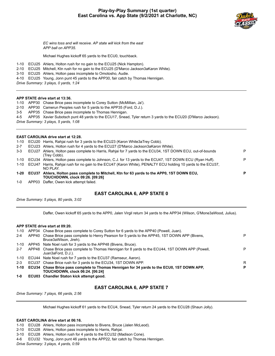# **Play-by-Play Summary (1st quarter) East Carolina vs. App State (9/2/2021 at Charlotte, NC)**



*EC wins toss and will receive. AP state will kick from the east APP ball on APP35.*

Michael Hughes kickoff 65 yards to the ECU0, touchback.

- 1-10 ECU25 Ahlers, Holton rush for no gain to the ECU25 (Nick Hampton).
- 2-10 ECU25 Mitchell, Ktn rush for no gain to the ECU25 (D'Marco Jackson3aKaron White).
- 3-10 ECU25 Ahlers, Holton pass incomplete to Omotosho, Audie.
- 4-10 ECU25 Young, Jonn punt 45 yards to the APP30, fair catch by Thomas Hennigan.

*Drive Summary: 3 plays, 0 yards, 1:24*

### **APP STATE drive start at 13:36.**

1-10 APP30 Chase Brice pass incomplete to Corey Sutton (McMillian, Ja').

- 2-10 APP30 Camerun Peoples rush for 5 yards to the APP35 (Ford, D.J.).
- 3-5 APP35 Chase Brice pass incomplete to Thomas Hennigan.
- 4-5 APP35 Xavier Subotsch punt 48 yards to the ECU17, Snead, Tyler return 3 yards to the ECU20 (D'Marco Jackson).
- *Drive Summary: 3 plays, 5 yards, 1:08*

### **EAST CAROLINA drive start at 12:28.**

- 1-10 ECU20 Harris, Rahjai rush for 3 yards to the ECU23 (Karon White3aTrey Cobb).
- 2-7 ECU23 Ahlers, Holton rush for 4 yards to the ECU27 (D'Marco Jackson3aKaron White).

| $3 - 3$ | ECU27 | Ahlers, Holton pass complete to Harris, Rahjai for 7 yards to the ECU34, 1ST DOWN ECU, out-of-bounds         | P |
|---------|-------|--------------------------------------------------------------------------------------------------------------|---|
|         |       | (Trev Cobb).                                                                                                 |   |
| 1-10    |       | ECU34 Ahlers, Holton pass complete to Johnson, C.J. for 13 yards to the ECU47, 1ST DOWN ECU (Ryan Huff).     | P |
| 1-10    |       | ECU47 Harris, Rahiai rush for no gain to the ECU47 (Karon White), PENALTY ECU holding 10 yards to the ECU37, |   |
|         |       | NO PI AY                                                                                                     |   |
| 1-20    |       | ECU37 Ahlers, Holton pass complete to Mitchell, Ktn for 63 yards to the APP0, 1ST DOWN ECU,                  | D |
|         |       | <b>TOUCHDOWN, clock 09:26. [09:26]</b>                                                                       |   |
| $1 - 0$ |       | APP03 Daffer, Owen kick attempt failed.                                                                      |   |

### **EAST CAROLINA 6, APP STATE 0**

*Drive Summary: 5 plays, 80 yards, 3:02*

Daffer, Owen kickoff 65 yards to the APP0, Jalen Virgil return 34 yards to the APP34 (Wilson, G'Mone3aWood, Julius).

### **APP STATE drive start at 09:20.**

| 1-10    |       | APP34 Chase Brice pass complete to Corey Sutton for 6 yards to the APP40 (Powell, Juan).                                                  |   |
|---------|-------|-------------------------------------------------------------------------------------------------------------------------------------------|---|
| $2 - 4$ | APP40 | Chase Brice pass complete to Henry Pearson for 5 yards to the APP45, 1ST DOWN APP (Bivens,<br>Bruce3aWilson, Jireh).                      | P |
| 1-10    |       | APP45 Nate Noel rush for 3 yards to the APP48 (Bivens, Bruce).                                                                            |   |
| $2 - 7$ |       | APP48 Chase Brice pass complete to Thomas Hennigan for 8 yards to the ECU44, 1ST DOWN APP (Powell,<br>Juan3aFord, D.J.).                  | P |
| 1-10    |       | ECU44 Nate Noel rush for 7 yards to the ECU37 (Ramseur, Aaron).                                                                           |   |
| $2 - 3$ |       | ECU37 Chase Brice rush for 3 yards to the ECU34, 1ST DOWN APP.                                                                            | R |
|         |       | 1-10 ECU34 Chase Brice pass complete to Thomas Hennigan for 34 yards to the ECU0, 1ST DOWN APP,<br><b>TOUCHDOWN, clock 06:24. [06:24]</b> | P |
| $1 - 0$ |       | ECU03 Chandler Staton kick attempt good.                                                                                                  |   |

# **EAST CAROLINA 6, APP STATE 7**

*Drive Summary: 7 plays, 66 yards, 2:56*

Michael Hughes kickoff 61 yards to the ECU4, Snead, Tyler return 24 yards to the ECU28 (Shaun Jolly).

### **EAST CAROLINA drive start at 06:16.**

1-10 ECU28 Ahlers, Holton pass incomplete to Bivens, Bruce (Jalen McLeod).

- 2-10 ECU28 Ahlers, Holton pass incomplete to Harris, Rahjai.
- 3-10 ECU28 Ahlers, Holton rush for 4 yards to the ECU32 (Madison Cone).
- 4-6 ECU32 Young, Jonn punt 46 yards to the APP22, fair catch by Thomas Hennigan.

*Drive Summary: 3 plays, 4 yards, 0:59*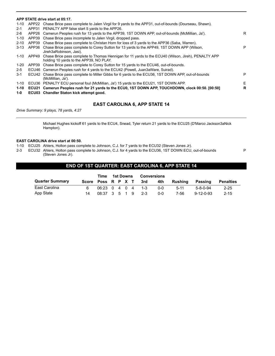|          |       | APP STATE drive start at 05:17.                                                                                                                      |   |
|----------|-------|------------------------------------------------------------------------------------------------------------------------------------------------------|---|
| 1-10     |       | APP22 Chase Brice pass complete to Jalen Virgil for 9 yards to the APP31, out-of-bounds (Dourseau, Shawn).                                           |   |
| $2 - 1$  |       | APP31 PENALTY APP false start 5 yards to the APP26.                                                                                                  |   |
| $2-6$    | APP26 | Camerun Peoples rush for 13 yards to the APP39, 1ST DOWN APP, out-of-bounds (McMillian, Ja').                                                        | R |
| $1 - 10$ | APP39 | Chase Brice pass incomplete to Jalen Virgil, dropped pass.                                                                                           |   |
| $2 - 10$ | APP39 | Chase Brice pass complete to Christan Horn for loss of 3 yards to the APP36 (Saba, Warren).                                                          |   |
| 3-13     | APP36 | Chase Brice pass complete to Corey Sutton for 13 yards to the APP49, 1ST DOWN APP (Wilson,<br>Jireh3aRobinson, Jasi).                                | P |
| 1-10     |       | APP49 Chase Brice pass complete to Thomas Hennigan for 11 yards to the ECU40 (Wilson, Jireh), PENALTY APP<br>holding 10 yards to the APP39, NO PLAY. |   |
| 1-20     |       | APP39 Chase Brice pass complete to Corey Sutton for 15 yards to the ECU46, out-of-bounds.                                                            |   |
| $2 - 5$  | ECU46 | Camerun Peoples rush for 4 yards to the ECU42 (Powell, Juan3aWare, Suirad).                                                                          |   |
| $3 - 1$  |       | ECU42 Chase Brice pass complete to Miller Gibbs for 6 yards to the ECU36, 1ST DOWN APP, out-of-bounds<br>(McMillian, Ja').                           | P |
| 1-10     |       | ECU36 PENALTY ECU personal foul (McMillian, Ja') 15 yards to the ECU21, 1ST DOWN APP.                                                                | Е |
| $1 - 10$ |       | ECU21 Camerun Peoples rush for 21 yards to the ECU0, 1ST DOWN APP, TOUCHDOWN, clock 00:50. [00:50]                                                   | R |
| 1-0      |       | ECU03 Chandler Staton kick attempt good.                                                                                                             |   |

# **EAST CAROLINA 6, APP STATE 14**

*Drive Summary: 9 plays, 78 yards, 4:27*

Michael Hughes kickoff 61 yards to the ECU4, Snead, Tyler return 21 yards to the ECU25 (D'Marco Jackson3aNick Hampton).

### **EAST CAROLINA drive start at 00:50.**

- 1-10 ECU25 Ahlers, Holton pass complete to Johnson, C.J. for 7 yards to the ECU32 (Steven Jones Jr).
- 2-3 ECU32 Ahlers, Holton pass complete to Johnson, C.J. for 4 yards to the ECU36, 1ST DOWN ECU, out-of-bounds (Steven Jones Jr).

P

# **END OF 1ST QUARTER: EAST CAROLINA 6, APP STATE 14**

|                        | Time               | <b>1st Downs</b>                                  |  | <b>Conversions</b> |     |            |          |                   |                  |
|------------------------|--------------------|---------------------------------------------------|--|--------------------|-----|------------|----------|-------------------|------------------|
| <b>Quarter Summary</b> | Score Poss R P X T |                                                   |  |                    | 3rd | 4th        | Rushina  | Passing           | <b>Penalties</b> |
| East Carolina          |                    | $06:23 \quad 0 \quad 4 \quad 0 \quad 4 \quad 1-3$ |  |                    |     | <u>ດ-ດ</u> | $5 - 11$ | $5 - 8 - 0 - 94$  | $2 - 25$         |
| App State              | 14                 | $08:37 \quad 3 \quad 5 \quad 1 \quad 9 \quad 2-3$ |  |                    |     | 0-0        | 7-56     | $9 - 12 - 0 - 93$ | $2 - 15$         |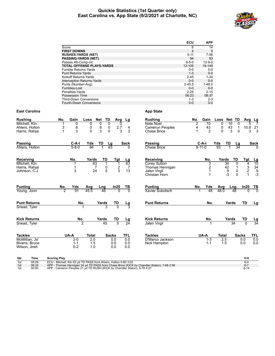### **Quickie Statistics (1st Quarter only) East Carolina vs. App State (9/2/2021 at Charlotte, NC)**



|                      |                                                                                            | ECU                   | <b>APP</b>             |          |                                |                     |                              |
|----------------------|--------------------------------------------------------------------------------------------|-----------------------|------------------------|----------|--------------------------------|---------------------|------------------------------|
|                      | Score                                                                                      | 6                     | 14                     |          |                                |                     |                              |
|                      | <b>FIRST DOWNS</b>                                                                         | 4                     | 9                      |          |                                |                     |                              |
|                      | <b>RUSHES-YARDS (NET)</b>                                                                  | $5 - 11$              | $7 - 56$               |          |                                |                     |                              |
|                      | <b>PASSING-YARDS (NET)</b>                                                                 | 94                    | 93                     |          |                                |                     |                              |
|                      | Passes Att-Comp-Int<br><b>TOTAL OFFENSE PLAYS-YARDS</b>                                    | $8 - 5 - 0$<br>13-105 | $12 - 9 - 0$<br>19-149 |          |                                |                     |                              |
|                      | Fumble Returns-Yards                                                                       | $0-0$                 | $0-0$                  |          |                                |                     |                              |
|                      | <b>Punt Returns-Yards</b>                                                                  | $1 - 3$               | $0-0$                  |          |                                |                     |                              |
|                      | Kickoff Returns-Yards                                                                      | $2 - 45$              | $1 - 34$               |          |                                |                     |                              |
|                      | Interception Returns-Yards                                                                 | $0-0$                 | $0-0$                  |          |                                |                     |                              |
|                      | Punts (Number-Avg)                                                                         | $2 - 45.5$            | $1 - 48.0$             |          |                                |                     |                              |
|                      | Fumbles-Lost                                                                               | $0-0$                 | $0-0$                  |          |                                |                     |                              |
|                      | Penalties-Yards                                                                            | $2 - 25$              | $2 - 15$               |          |                                |                     |                              |
|                      | Possession Time                                                                            | 06:23                 | 08:37                  |          |                                |                     |                              |
|                      | <b>Third-Down Conversions</b><br>Fourth-Down Conversions                                   | $1 - 3$<br>$0-0$      | $2 - 3$<br>$0-0$       |          |                                |                     |                              |
| <b>East Carolina</b> | <b>App State</b>                                                                           |                       |                        |          |                                |                     |                              |
| Rushing              | No.<br>Gain<br>Loss<br>Net<br>TD<br><b>Rushing</b><br>Avg<br>Lg                            | No.                   | Gain                   | Loss     | Net TD                         | Avg                 | Lg                           |
| Mitchell, Ktn        | 1<br>0<br>0<br>0<br>0<br>Nate Noel<br>0                                                    | 2                     | 10                     | 0        | 10<br>0                        |                     | 5                            |
| Ahlers, Holton       | 8<br>3<br>8<br>0<br>0<br>2.7<br>Camerun Peoples<br>4                                       | 4                     | 43                     | 0        | 43<br>$\mathbf{1}$             |                     | 10.8 21                      |
| Harris, Rahjai       | 3<br>3<br>0<br>3<br>$\mathbf{1}$<br>0<br>3<br><b>Chase Brice</b>                           | $\mathbf{1}$          | 3                      | $\Omega$ | 3<br>0                         |                     | 3<br>3                       |
| Passing              | C-A-I<br>Yds<br>TD<br>Passing<br>Lg<br>Sack                                                |                       | C-A-I                  | Yds      | TD<br>Lg                       |                     | Sack                         |
| Ahlers, Holton       | $5 - 8 - 0$<br>94<br>63<br><b>Chase Brice</b><br>O                                         |                       | $9 - 11 - 0$           | 93       | 34                             |                     |                              |
|                      |                                                                                            |                       |                        |          |                                |                     |                              |
| <b>Receiving</b>     | No.<br>Yards<br>TD<br>Receiving<br>Tgt<br>Lg                                               |                       | No.                    | Yards    | TD                             | Tgt                 |                              |
| Mitchell, Ktn        | Corey Sutton<br>63<br>$\mathbf 1$<br>63<br>1<br>1                                          |                       | 3                      |          | 34<br>0                        | 4                   | $\frac{Lg}{15}$              |
| Harris, Rahjai       | $\frac{2}{3}$<br>$\overline{7}$<br>0<br>$\mathbf{1}$<br>7<br>Thomas Hennigan               |                       | $\overline{2}$         |          | $\frac{42}{9}$<br>$\mathbf{1}$ | 3                   |                              |
| Johnson, C.J.        | 3<br>24<br>$\mathbf{0}$<br>13<br>Jalen Virgil<br>Christan Horn                             |                       | $\mathbf 1$<br>1       |          | 0<br>$-3$<br>$\Omega$          | $\overline{2}$<br>1 | $34$<br>$9$<br>$-3$          |
|                      |                                                                                            |                       |                        |          |                                |                     |                              |
| Punting              | No.<br>Yds<br>In20<br><b>Punting</b><br>Avg<br>Lng<br>TВ                                   | No.                   | Yds                    | Avg      | Lng                            | ln20                | TВ                           |
| Young, Jonn          | $\overline{2}$<br>91<br>45.5<br>46<br>0<br>$\Omega$<br>Xavier Subotsch                     |                       | 48<br>1                | 48.0     | 48                             | 0                   |                              |
| Punt Returns         | No.<br><b>Punt Returns</b><br>Yards<br>TD<br>Lg                                            |                       | No.                    |          | Yards                          | TD                  | Lg                           |
| Snead, Tyler         |                                                                                            |                       |                        |          |                                |                     |                              |
|                      |                                                                                            |                       |                        |          |                                |                     |                              |
| Kick Returns         | Yards<br><b>Kick Returns</b><br>No.<br>TD<br>Lg<br>$\overline{24}$<br>$\mathfrak{p}$<br>45 |                       | No.                    |          | Yards<br>34                    | TD<br>$\Omega$      | <u>Lg</u><br>$\overline{34}$ |
| Snead, Tyler         | Jalen Virgil                                                                               |                       |                        |          |                                |                     |                              |
| Tackles              | UA-A<br>TFL<br><b>Tackles</b><br>Total<br>Sacks                                            |                       | UA-A                   | Total    |                                | Sacks               | TFL                          |
| McMillian. Ja'       | D'Marco Jackson<br>2-0<br>2.0<br>0.0<br>0.0                                                |                       | 1-3                    | 2.5      |                                | 0.0                 | 0.0                          |
| Bivens, Bruce        | $1 - 1$<br>1.5<br>0.0<br>0.0<br>Nick Hampton                                               |                       | $1 - 1$                | 1.5      |                                | 0.0                 | 0.0                          |
| Wilson, Jireh        | 0.0<br>$0 - 2$<br>1.0<br>0.0                                                               |                       |                        |          |                                |                     |                              |
| Qtr<br>Time          | <b>Scoring Play</b>                                                                        |                       |                        |          |                                | V-H                 |                              |
| 09:26<br>1st         | ECU - Mitchell, Ktn 63 vd TD PASS from Ahlers, Holton 5-80 3:02                            |                       |                        |          |                                | $6-0$               |                              |

1st 09:26 ECU - Mitchell, Ktn 63 yd TD PASS from Ahlers, Holton 5-80 3:02<br>1st 06:24 APP - Thomas Hennigan 34 yd TD PASS from Chase Brice (KICK by Chandler Staton), 7-66 2:56<br>1st 00:50 APP - Camerun Peoples 21 y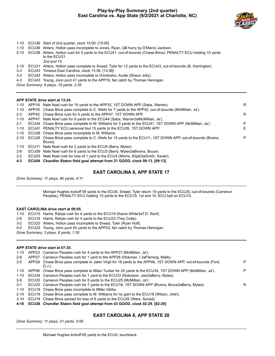# **Play-by-Play Summary (2nd quarter) East Carolina vs. App State (9/2/2021 at Charlotte, NC)**



- 1-10 ECU36 Start of 2nd quarter, clock 15:00. [15:00]
- 1-10 ECU36 Ahlers, Holton pass incomplete to Jones, Ryan, QB hurry by D'Marco Jackson.
- 2-10 ECU36 Ahlers, Holton rush for 5 yards to the ECU41, out-of-bounds (Chase Brice), PENALTY ECU holding 10 yards to the ECU31. *2nd and 15.*
- 2-15 ECU31 Ahlers, Holton pass complete to Snead, Tyler for 12 yards to the ECU43, out-of-bounds (B. Harrington).
- 3-3 ECU43 Timeout East Carolina, clock 13:36. [13:36]
- 3-3 ECU43 Ahlers, Holton pass incomplete to Omotosho, Audie (Shaun Jolly).
- 4-3 ECU43 Young, Jonn punt 41 yards to the APP16, fair catch by Thomas Hennigan.

*Drive Summary: 6 plays, 18 yards, 2:26*

### **APP STATE drive start at 13:24.**

| 1-10     | APP16 Nate Noel rush for 19 yards to the APP35, 1ST DOWN APP (Saba, Warren).                                | R  |
|----------|-------------------------------------------------------------------------------------------------------------|----|
| 1-10     | APP35 Chase Brice pass complete to C. Wells for 7 yards to the APP42, out-of-bounds (McMillian, Ja').       |    |
| $2 - 3$  | APP42 Chase Brice rush for 5 yards to the APP47, 1ST DOWN APP.                                              | R. |
| 1-10     | APP47 Nate Noel rush for 9 yards to the ECU44 (Saba, Warren3aMcMillian, Ja').                               |    |
| $2 - 1$  | ECU44 Chase Brice pass complete to M. Williams for 3 yards to the ECU41, 1ST DOWN APP (McMillian, Ja').     | P  |
| $1 - 10$ | ECU41 PENALTY ECU personal foul 15 yards to the ECU26, 1ST DOWN APP.                                        | E. |
| 1-10     | ECU26 Chase Brice pass incomplete to M. Williams.                                                           |    |
| $2 - 10$ | ECU26 Chase Brice pass complete to C. Wells for 15 yards to the ECU11, 1ST DOWN APP, out-of-bounds (Bivens, | P  |
|          | Bruce).                                                                                                     |    |
| $1 - 10$ | ECU11 Nate Noel rush for 2 yards to the ECU9 (Berry, Myles).                                                |    |
| 2-8      | ECU09 Nate Noel rush for 6 yards to the ECU3 (Berry, Myles3aBivens, Bruce).                                 |    |
|          |                                                                                                             |    |

3-2 ECU03 Nate Noel rush for loss of 1 yard to the ECU4 (Morris, Elijah3aSmith, Xavier).

**4-3 ECU04 Chandler Staton field goal attempt from 21 GOOD, clock 09:13. [09:13]**

### **EAST CAROLINA 6, APP STATE 17**

*Drive Summary: 11 plays, 80 yards, 4:11*

Michael Hughes kickoff 59 yards to the ECU6, Snead, Tyler return 19 yards to the ECU25, out-of-bounds (Camerun Peoples), PENALTY ECU holding 10 yards to the ECU15, 1st and 10, ECU ball on ECU15.

### **EAST CAROLINA drive start at 09:05.**

- 1-10 ECU15 Harris, Rahjai rush for 4 yards to the ECU19 (Karon White3aT.D. Roof).
- 2-6 ECU19 Harris, Rahjai rush for 4 yards to the ECU23 (Trey Cobb).
- 3-2 ECU23 Ahlers, Holton pass incomplete to Snead, Tyler (Ryan Huff).
- 4-2 ECU23 Young, Jonn punt 54 yards to the APP23, fair catch by Thomas Hennigan.

*Drive Summary: 3 plays, 8 yards, 1:30*

### **APP STATE drive start at 07:35.**

| 1-10     |       | APP23 Camerun Peoples rush for 4 yards to the APP27 (McMillian, Ja').                                                   |   |
|----------|-------|-------------------------------------------------------------------------------------------------------------------------|---|
| 2-6      | APP27 | Camerun Peoples rush for 1 yard to the APP28 (Hickman, I.3aFleming, Malik).                                             |   |
| $3-5$    |       | APP28 Chase Brice pass complete to Jalen Virgil for 18 yards to the APP46, 1ST DOWN APP, out-of-bounds (Ford,<br>D.J.). | P |
| 1-10     |       | APP46 Chase Brice pass complete to Milan Tucker for 20 yards to the ECU34, 1ST DOWN APP (McMillian, Ja').               | P |
| $1 - 10$ |       | ECU34 Camerun Peoples rush for 1 yard to the ECU33 (Robinson, Jasi3aBerry, Myles).                                      |   |
| $2-9$    |       | ECU33 Camerun Peoples rush for 8 yards to the ECU25 (McMillian, Ja').                                                   |   |
| $3-1$    |       | ECU25 Camerun Peoples rush for 7 yards to the ECU18, 1ST DOWN APP (Bivens, Bruce3aBerry, Myles).                        | R |
| 1-10     |       | ECU18 Chase Brice pass incomplete to Miller Gibbs.                                                                      |   |
| $2 - 10$ |       | ECU18 Chase Brice pass complete to M. Williams for no gain to the ECU18 (Wilson, Jireh).                                |   |
| 3-10     |       | ECU18 Chase Brice sacked for loss of 8 yards to the ECU26 (Ware, Suirad).                                               |   |
|          |       | A 40 ECUM Chandler Claire field and offerent from AS COOD alsol, 09:90 F09:901                                          |   |

**4-18 ECU26 Chandler Staton field goal attempt from 43 GOOD, clock 02:29. [02:29]**

# **EAST CAROLINA 6, APP STATE 20**

*Drive Summary: 11 plays, 51 yards, 5:06*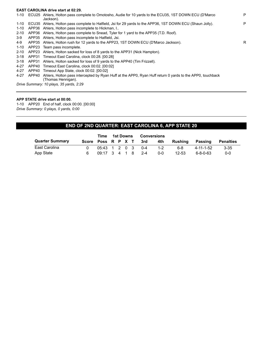# **EAST CAROLINA drive start at 02:29.**

|          |                                         | 1-10 ECU25 Ahlers, Holton pass complete to Omotosho, Audie for 10 yards to the ECU35, 1ST DOWN ECU (D'Marco<br>Jackson). | P |  |  |  |  |  |
|----------|-----------------------------------------|--------------------------------------------------------------------------------------------------------------------------|---|--|--|--|--|--|
| 1-10     |                                         | ECU35 Ahlers, Holton pass complete to Hatfield, Jsi for 29 yards to the APP36, 1ST DOWN ECU (Shaun Jolly).               | P |  |  |  |  |  |
| $1 - 10$ | APP36                                   | Ahlers, Holton pass incomplete to Hickman, I                                                                             |   |  |  |  |  |  |
| $2 - 10$ | APP36                                   | Ahlers, Holton pass complete to Snead, Tyler for 1 yard to the APP35 (T.D. Roof).                                        |   |  |  |  |  |  |
| 3-9      |                                         | APP35 Ahlers, Holton pass incomplete to Hatfield, Jsi.                                                                   |   |  |  |  |  |  |
| 4-9      | APP35                                   | Ahlers, Holton rush for 12 yards to the APP23, 1ST DOWN ECU (D'Marco Jackson).                                           | R |  |  |  |  |  |
| $1 - 10$ | APP23                                   | Team pass incomplete.                                                                                                    |   |  |  |  |  |  |
| $2 - 10$ |                                         | APP23 Ahlers, Holton sacked for loss of 8 yards to the APP31 (Nick Hampton).                                             |   |  |  |  |  |  |
| $3 - 18$ | APP31                                   | Timeout East Carolina, clock 00:28. [00:28]                                                                              |   |  |  |  |  |  |
| $3 - 18$ | APP31                                   | Ahlers, Holton sacked for loss of 9 yards to the APP40 (Tim Frizzell).                                                   |   |  |  |  |  |  |
| 4-27     |                                         | APP40 Timeout East Carolina, clock 00:02. [00:02]                                                                        |   |  |  |  |  |  |
| 4-27     |                                         | APP40 Timeout App State, clock 00:02. [00:02]                                                                            |   |  |  |  |  |  |
| 4-27     | APP40                                   | Ahlers, Holton pass intercepted by Ryan Huff at the APPO, Ryan Huff return 0 yards to the APPO, touchback                |   |  |  |  |  |  |
|          |                                         | (Thomas Hennigan).                                                                                                       |   |  |  |  |  |  |
|          | Drive Summary: 10 plays, 35 yards, 2:29 |                                                                                                                          |   |  |  |  |  |  |

**APP STATE drive start at 00:00.**

1-10 APP20 End of half, clock 00:00. [00:00] *Drive Summary: 0 plays, 0 yards, 0:00*

# **END OF 2ND QUARTER: EAST CAROLINA 6, APP STATE 20**

|                        |                    | Time                                               | 1st Downs |  | Conversions |         |           |           |                  |
|------------------------|--------------------|----------------------------------------------------|-----------|--|-------------|---------|-----------|-----------|------------------|
| <b>Quarter Summary</b> | Score Poss R P X T |                                                    |           |  | 3rd         | 4th     | Rushina   | Passing   | <b>Penalties</b> |
| East Carolina          |                    | $0.5:43 \quad 1 \quad 2 \quad 0 \quad 3 \quad 0.4$ |           |  |             | $1 - 2$ | 6-8       | 4-11-1-52 | $3 - 35$         |
| App State              | 6                  | $0.9:17$ 3 4 1 8 2-4                               |           |  |             | $0 - 0$ | $12 - 53$ | 6-8-0-63  | $0 - 0$          |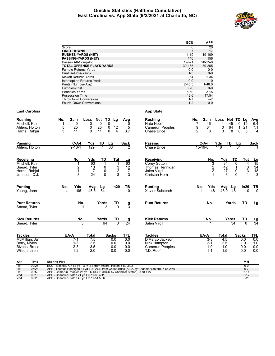### **Quickie Statistics (Halftime Cumulative) East Carolina vs. App State (9/2/2021 at Charlotte, NC)**



|                                   | ECU          | <b>APP</b>    |
|-----------------------------------|--------------|---------------|
| Score                             | 6            | 20            |
| <b>FIRST DOWNS</b>                | 7            | 17            |
| <b>RUSHES-YARDS (NET)</b>         | $11 - 19$    | 19-109        |
| <b>PASSING-YARDS (NET)</b>        | 146          | 156           |
| Passes Att-Comp-Int               | $19 - 9 - 1$ | $20 - 15 - 0$ |
| <b>TOTAL OFFENSE PLAYS-YARDS</b>  | 30-165       | 39-265        |
| <b>Fumble Returns-Yards</b>       | $0 - 0$      | $0-0$         |
| <b>Punt Returns-Yards</b>         | $1 - 3$      | $0 - 0$       |
| Kickoff Returns-Yards             | $3 - 64$     | $1 - 34$      |
| <b>Interception Returns-Yards</b> | $0 - 0$      | $1 - 0$       |
| Punts (Number-Avg)                | $2 - 45.5$   | $1 - 48.0$    |
| Fumbles-Lost                      | $0 - 0$      | $0 - 0$       |
| Penalties-Yards                   | $5 - 60$     | $2 - 15$      |
| <b>Possession Time</b>            | 12:6         | 17:54         |
| <b>Third-Down Conversions</b>     | $1 - 7$      | $4 - 7$       |
| <b>Fourth-Down Conversions</b>    | $1 - 2$      | $0 - 0$       |

### **East Carolina App State**

### **Rushing No. Gain Loss Net TD Lg Avg** Mitchell, Ktn 1 0 0 0 0 0 Ahlers, Holton 5 25 0 25 0 12 5 Ahlers, Rubbon 5 25 0 25 0 12<br>
Harris, Rahjai 3 11 0 11 0 4 **Rushing 12 No. Gain Loss Net TD Lg Avg**<br>
Nate Noel 7 46 -1 45 0 19 6.4<br>
Camerun Peoples 9 64 0 64 1 21 7.1 Nate Noel 7 46 -1 45 0 19<br>
Camerun Peoples 9 64 0 64 1 21<br>
Chase Brice 2 8 0 8 0 5 Camerun Peoples 9 64 0 64 1 21 7.1<br>Chase Brice 2 8 0 8 0 5 4 Chase Brice **Passing C-A-I Yds TD Lg Sack** Ahlers, Holton **Passing C-A-I Yds TD Lg Sack** Chase Brice **15-19-0 148 1 34** 1 **Receiving No. Yds TD Tgt Lg** Mitchell, Ktn 1 63 1 1 63 Snead, Tyler 2 13 0<br>
Harris, Rahjai 1 7 0 Harris, Rahjai 1 7 0 2 7 Johnson, C.J. **Receiving No. Yds TD Tgt Lg** Corey Sutton 3 3 34 0 4 15<br>
Thomas Hennigan 2 42 1 3 34<br>
Jalen Virgil 2 27 0 3 18 Thomas Hennigan 2 42 1 3 34 Jalen Virgil 2 2 27 0 3 18<br>Christan Horn 1 -3 0 1 -3 Christan Horn **Punting No. Yds Avg Lg In20 TB** Young, Jonn **Punting No. Yds Avg Lg In20 TB Xavier Subotsch Punt Returns No. Yards TD Lg** Snead, Tyler 3 **Punt Returns No. Yards TD Lg Kick Returns No. Yards TD Lg** Snead, Tyler **Kick Returns No. Yards TD Lg** Jalen Virgil 1 **Tackles**<br> **ICONILLET 12.5**<br> **Tackles**<br> **EXECUTE:**<br> **Tackles**<br> **Tackles**<br> **Tackles**<br> **Tackles**<br> **Tackles**<br> **Tackles**<br> **Tackles**<br> **Tackles**<br> **Tackles**<br> **Tackles**<br> **Tackles**<br> **Tackles**<br> **Tackles**<br> **Tackles**<br> **Tackles**<br> **Tack** McMillian, Ja' 7-1 7.5 0.0 0.0<br>
Berry, Myles 1-3 2.5 0.0 0.0<br>
Bivens, Bruce 2-3 3.5 0.0 0.0<br>
Wilson, Jireh 1-2 2.0 0.0 0.0 Berry, Myles 1-3 2.5 0.0 0.0 Bivens, Bruce  $2-3$   $3.5$   $0.0$   $0.0$ <br>
Wilson, Jireh  $1-2$   $2.0$   $0.0$   $0.0$ Wilson, Jireh **Tackles UA-A Total Sacks TFL** D'Marco Jackson 3-3 4.5 0.0 0.0 Nick Hampton 2-1 2.5 1.0 1.0 Camerun Peoples 1-0 1.0 0.0 0.0<br>T.D. Roof 1-1 1.5 0.0 0.0 T.D. Roof

| Qtr | Time  | <b>Scoring Play</b>                                                                       | V-H      |
|-----|-------|-------------------------------------------------------------------------------------------|----------|
| 1st | 09:26 | ECU - Mitchell. Ktn 63 yd TD PASS from Ahlers, Holton 5-80 3:02                           | 6-0      |
| 1st | 06:24 | APP - Thomas Hennigan 34 yd TD PASS from Chase Brice (KICK by Chandler Staton), 7-66 2:56 | $6 - 7$  |
| 1st | 00:50 | APP - Camerun Peoples 21 vd TD RUSH (KICK by Chandler Staton), 9-78 4:27                  | $6 - 14$ |
| 2nd | 09:13 | APP - Chandler Staton 21 yd FG 11-80 4:11                                                 | $6 - 17$ |
| 2nd | 02:29 | APP - Chandler Staton 43 yd FG 11-51 5:06                                                 | $6 - 20$ |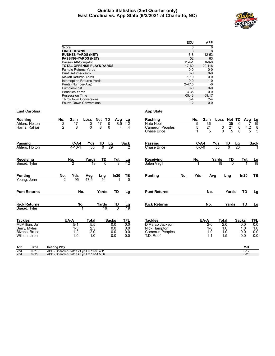# **Quickie Statistics (2nd Quarter only) East Carolina vs. App State (9/2/2021 at Charlotte, NC)**



|                     |                      |                                           |                                                          |           |                        |                 |                     | ECU                   | <b>APP</b>            |                 |                |                        |            |                 |
|---------------------|----------------------|-------------------------------------------|----------------------------------------------------------|-----------|------------------------|-----------------|---------------------|-----------------------|-----------------------|-----------------|----------------|------------------------|------------|-----------------|
|                     |                      | Score                                     |                                                          |           |                        |                 |                     | $\Omega$              | 6                     |                 |                |                        |            |                 |
|                     |                      | <b>FIRST DOWNS</b>                        |                                                          |           |                        |                 |                     | 3                     | 8                     |                 |                |                        |            |                 |
|                     |                      |                                           | <b>RUSHES-YARDS (NET)</b>                                |           |                        |                 |                     | $6-8$                 | 12-53                 |                 |                |                        |            |                 |
|                     |                      |                                           | <b>PASSING-YARDS (NET)</b>                               |           |                        |                 |                     | 52                    | 63                    |                 |                |                        |            |                 |
|                     |                      |                                           | Passes Att-Comp-Int<br><b>TOTAL OFFENSE PLAYS-YARDS</b>  |           |                        |                 |                     | $11 - 4 - 1$<br>17-60 | $8 - 6 - 0$<br>20-116 |                 |                |                        |            |                 |
|                     |                      |                                           | Fumble Returns-Yards                                     |           |                        |                 |                     | $0-0$                 | $0-0$                 |                 |                |                        |            |                 |
|                     |                      |                                           | <b>Punt Returns-Yards</b>                                |           |                        |                 |                     | $0-0$                 | $0 - 0$               |                 |                |                        |            |                 |
|                     |                      |                                           | <b>Kickoff Returns-Yards</b>                             |           |                        |                 |                     | $1 - 19$              | $0 - 0$               |                 |                |                        |            |                 |
|                     |                      |                                           | <b>Interception Returns-Yards</b>                        |           |                        |                 |                     | $0-0$                 | $1 - 0$               |                 |                |                        |            |                 |
|                     |                      |                                           | Punts (Number-Avg)                                       |           |                        |                 |                     | $2 - 47.5$            | $-0$                  |                 |                |                        |            |                 |
|                     |                      | Fumbles-Lost                              |                                                          |           |                        |                 |                     | $0-0$                 | $0 - 0$               |                 |                |                        |            |                 |
|                     |                      | Penalties-Yards                           |                                                          |           |                        |                 |                     | $3 - 35$              | $0 - 0$               |                 |                |                        |            |                 |
|                     |                      | <b>Possession Time</b>                    |                                                          |           |                        |                 |                     | 05:43                 | 09:17                 |                 |                |                        |            |                 |
|                     |                      |                                           | <b>Third-Down Conversions</b><br>Fourth-Down Conversions |           |                        |                 |                     | $0 - 4$<br>$1 - 2$    | $2 - 4$<br>$0-0$      |                 |                |                        |            |                 |
|                     |                      |                                           |                                                          |           |                        |                 |                     |                       |                       |                 |                |                        |            |                 |
|                     | <b>East Carolina</b> |                                           |                                                          |           |                        |                 | <b>App State</b>    |                       |                       |                 |                |                        |            |                 |
| <b>Rushing</b>      |                      | Gain<br>No.                               | Loss                                                     | Net TD    | Avg                    | Lg              | <b>Rushing</b>      | No.                   | Gain                  | Loss            | Net TD         |                        | Avg        | Lg              |
|                     | Ahlers, Holton       | 2<br>17                                   | 0                                                        | 17        | 0<br>8.5               | 12              | Nate Noel           | 5                     | 36                    | $-1$            | 35             | 0                      |            | 19              |
| Harris, Rahjai      |                      | $\overline{2}$                            | 8<br>0                                                   | 8         | 0<br>4                 | 4               | Camerun Peoples     |                       | 5<br>21               | 0               | 21             | 0                      | $4.2\,$    | 8               |
|                     |                      |                                           |                                                          |           |                        |                 | <b>Chase Brice</b>  | $\mathbf{1}$          | 5                     | 0               | 5              | 0                      | 5          | 5               |
| <b>Passing</b>      |                      |                                           | C-A-I<br>Yds                                             | <u>TD</u> |                        | Sack            | <b>Passing</b>      |                       | <u>C-A-I</u>          | Yds             | TD             |                        |            | <b>Sack</b>     |
|                     | Ahlers, Holton       | 4-10-1                                    | 35                                                       |           | $\frac{\text{Lg}}{29}$ |                 | <b>Chase Brice</b>  |                       | 6-8-0                 | 55              | $\overline{0}$ | $\frac{\text{Lg}}{20}$ |            |                 |
|                     |                      |                                           |                                                          |           |                        |                 |                     |                       |                       |                 |                |                        |            |                 |
| Receiving           |                      | No.                                       | Yards                                                    | TD        | $\frac{Tgt}{3}$        | <u>Lg</u>       | Receiving           | No.                   |                       | Yards           | TD             |                        | <b>Tgt</b> | <u>Lg</u>       |
| Snead, Tyler        |                      | 2                                         | $\overline{13}$                                          | $\Omega$  |                        | 12              | Jalen Virgil        |                       |                       | $\overline{18}$ | $\overline{0}$ |                        |            | $\overline{18}$ |
| <b>Punting</b>      |                      | No.<br>Yds                                | Avg                                                      | Lng       | In20                   | ТВ              | <b>Punting</b>      | No.                   | Yds                   | Avg             | Lng            |                        | In20       | ΤВ              |
| Young, Jonn         |                      | 2                                         | 95<br>47.5                                               | 54        |                        | $\overline{0}$  |                     |                       |                       |                 |                |                        |            |                 |
|                     | <b>Punt Returns</b>  |                                           | No.                                                      | Yards     | TD                     | Lg              | <b>Punt Returns</b> |                       | No.                   |                 | Yards          |                        | TD         | Lg              |
|                     |                      |                                           |                                                          |           |                        |                 |                     |                       |                       |                 |                |                        |            |                 |
| <b>Kick Returns</b> |                      |                                           | No.                                                      | Yards     | TD<br>$\overline{0}$   | <u>Lg</u><br>19 | <b>Kick Returns</b> |                       | No.                   |                 | Yards          |                        | TD         | Lg              |
| Snead, Tyler        |                      |                                           |                                                          | 19        |                        |                 |                     |                       |                       |                 |                |                        |            |                 |
| <b>Tackles</b>      |                      | UA-A                                      | Total                                                    |           | <b>Sacks</b>           | <b>TFL</b>      | <b>Tackles</b>      |                       | UA-A                  | Total           |                | <b>Sacks</b>           |            | TFL             |
| McMillian, Ja'      |                      | $5-1$                                     | 5.5                                                      |           | 0.0                    | 0.0             | D'Marco Jackson     |                       | $2 - 0$               |                 | 2.0            | 0.0                    |            | 0.0             |
| Berry, Myles        |                      | $1 - 3$                                   | 2.5                                                      |           | 0.0                    | 0.0             | Nick Hampton        |                       | $1 - 0$               |                 | 1.0            | 1.0                    |            | 1.0             |
| Bivens, Bruce       |                      | $1 - 2$                                   | 2.0                                                      |           | 0.0                    | 0.0             | Camerun Peoples     |                       | $1 - 0$               |                 | 1.0            | 0.0                    |            | 0.0             |
| Wilson, Jireh       |                      | $1 - 0$                                   | 1.0                                                      |           | 0.0                    | 0.0             | T.D. Roof           |                       | $1 - 1$               |                 | 1.5            | 0.0                    |            | 0.0             |
| Qtr                 | Time                 | <b>Scoring Play</b>                       |                                                          |           |                        |                 |                     |                       |                       |                 |                |                        | V-H        |                 |
| 2nd                 | 09:13                | APP - Chandler Staton 21 yd FG 11-80 4:11 |                                                          |           |                        |                 |                     |                       |                       |                 |                |                        | $6 - 17$   |                 |
| 2 <sub>nd</sub>     | 02:29                | APP - Chandler Staton 43 yd FG 11-51 5:06 |                                                          |           |                        |                 |                     |                       |                       |                 |                |                        | $6 - 20$   |                 |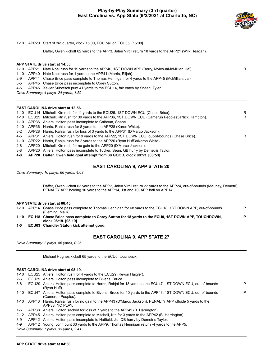# **Play-by-Play Summary (3rd quarter) East Carolina vs. App State (9/2/2021 at Charlotte, NC)**



1-10 APP20 Start of 3rd quarter, clock 15:00, ECU ball on ECU35. [15:00]

Daffer, Owen kickoff 62 yards to the APP3, Jalen Virgil return 18 yards to the APP21 (Wilk, Teagan).

### **APP STATE drive start at 14:55.**

# 1-10 APP21 Nate Noel rush for 19 yards to the APP40, 1ST DOWN APP (Berry, Myles3aMcMillian, Ja'). R

- 1-10 APP40 Nate Noel rush for 1 yard to the APP41 (Morris, Elijah).
- 2-9 APP41 Chase Brice pass complete to Thomas Hennigan for 4 yards to the APP45 (McMillian, Ja').
- 3-5 APP45 Chase Brice pass incomplete to Corey Sutton.
- 4-5 APP45 Xavier Subotsch punt 41 yards to the ECU14, fair catch by Snead, Tyler.

*Drive Summary: 4 plays, 24 yards, 1:59*

### **EAST CAROLINA drive start at 12:56.**

|     | 1-10 ECU14 Mitchell, Ktn rush for 11 yards to the ECU25, 1ST DOWN ECU (Chase Brice).                   | R |
|-----|--------------------------------------------------------------------------------------------------------|---|
|     | 1-10 ECU25 Mitchell, Ktn rush for 39 yards to the APP36, 1ST DOWN ECU (Camerun Peoples3aNick Hampton). | R |
|     | 1-10 APP36 Ahlers, Holton pass incomplete to Calhoun, Shane.                                           |   |
|     | 2-10 APP36 Harris, Rahiai rush for 8 yards to the APP28 (Karon White).                                 |   |
| 3-2 | APP28 Harris, Rahiai rush for loss of 3 yards to the APP31 (D'Marco Jackson).                          |   |
| 4-5 | APP31 Ahlers, Holton rush for 9 yards to the APP22, 1ST DOWN ECU, out-of-bounds (Chase Brice).         | R |
|     | 1-10 APP22 Harris, Rahjai rush for 2 yards to the APP20 (Ryan Huff3aKaron White).                      |   |
| 2-8 | APP20 Mitchell, Ktn rush for no gain to the APP20 (D'Marco Jackson).                                   |   |
| 3-8 | APP20 Ahlers, Holton pass incomplete to Tucker, Sean, QB hurry by Demetris Taylor.                     |   |
|     |                                                                                                        |   |

**4-8 APP20 Daffer, Owen field goal attempt from 38 GOOD, clock 08:53. [08:53]**

# **EAST CAROLINA 9, APP STATE 20**

*Drive Summary: 10 plays, 66 yards, 4:03*

Daffer, Owen kickoff 63 yards to the APP2, Jalen Virgil return 22 yards to the APP24, out-of-bounds (Mauney, Demetri), PENALTY APP holding 10 yards to the APP14, 1st and 10, APP ball on APP14.

### **APP STATE drive start at 08:45.**

| $1 - 10$ | APP14 | Chase Brice pass complete to Thomas Hennigan for 68 yards to the ECU18, 1ST DOWN APP, out-of-bounds<br>(Fleming, Malik).   | D |
|----------|-------|----------------------------------------------------------------------------------------------------------------------------|---|
| $1 - 10$ |       | ECU18 Chase Brice pass complete to Corey Sutton for 18 yards to the ECU0, 1ST DOWN APP, TOUCHDOWN,<br>clock 08:19. [08:19] | D |
|          |       | <b>EQUAR OF FIRE Of Heading Intellect Contract Control</b>                                                                 |   |

**1-0 ECU03 Chandler Staton kick attempt good.**

# **EAST CAROLINA 9, APP STATE 27**

*Drive Summary: 2 plays, 86 yards, 0:26*

Michael Hughes kickoff 65 yards to the ECU0, touchback.

### **EAST CAROLINA drive start at 08:19.**

|          |       | 1-10 ECU25 Ahlers, Holton rush for 4 yards to the ECU29 (Kevon Haigler).                                                    |   |
|----------|-------|-----------------------------------------------------------------------------------------------------------------------------|---|
| $2-6$    |       | ECU29 Ahlers, Holton pass incomplete to Bivens, Bruce.                                                                      |   |
| 3-6      |       | ECU29 Ahlers, Holton pass complete to Harris, Rahjai for 18 yards to the ECU47, 1ST DOWN ECU, out-of-bounds<br>(Ryan Huff). | P |
| 1-10     | ECU47 | Ahlers, Holton pass complete to Bivens, Bruce for 10 yards to the APP43, 1ST DOWN ECU, out-of-bounds<br>(Camerun Peoples).  |   |
| 1-10     |       | APP43 Harris, Rahiai rush for no gain to the APP43 (D'Marco Jackson), PENALTY APP offside 5 yards to the<br>APP38. NO PLAY. |   |
| 1-5      |       | APP38 Ahlers, Holton sacked for loss of 7 yards to the APP45 (B. Harrington).                                               |   |
| $2 - 12$ |       | APP45 Ahlers, Holton pass complete to Mitchell, Ktn for 3 yards to the APP42 (B. Harrington).                               |   |
| $3-9$    |       | APP42 Ahlers, Holton pass incomplete to Hatfield, Jsi, QB hurry by Demetris Taylor.                                         |   |
| $4 - 9$  |       | APP42 Young, Jonn punt 33 yards to the APP9, Thomas Hennigan return -4 yards to the APP5.                                   |   |

*Drive Summary: 7 plays, 33 yards, 3:41*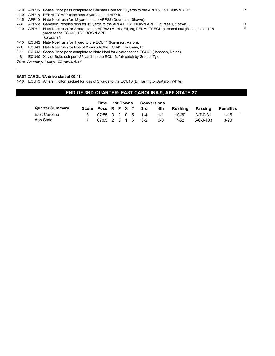| 1-10    |       | APP05 Chase Brice pass complete to Christan Horn for 10 yards to the APP15, 1ST DOWN APP.                                                   | P  |
|---------|-------|---------------------------------------------------------------------------------------------------------------------------------------------|----|
| 1-10    |       | APP15 PENALTY APP false start 5 yards to the APP10.                                                                                         |    |
|         |       | 1-15 APP10 Nate Noel rush for 12 yards to the APP22 (Dourseau, Shawn).                                                                      |    |
| $2 - 3$ |       | APP22 Camerun Peoples rush for 19 yards to the APP41, 1ST DOWN APP (Dourseau, Shawn).                                                       | R  |
| 1-10    | APP41 | 15 Nate Noel rush for 2 yards to the APP43 (Morris, Elijah), PENALTY ECU personal foul (Foote, Isaiah)<br>vards to the ECU42, 1ST DOWN APP. | E. |
|         |       | 1st and 10.                                                                                                                                 |    |
| 1-10    |       | ECU42 Nate Noel rush for 1 yard to the ECU41 (Ramseur, Aaron).                                                                              |    |
| 2-9     |       | ECU41 Nate Noel rush for loss of 2 yards to the ECU43 (Hickman, I.).                                                                        |    |
| -3-11   |       | ECU43 Chase Brice pass complete to Nate Noel for 3 yards to the ECU40 (Johnson, Nolan).                                                     |    |
|         |       | 4.0 ECU40, Voyier Cubetash nunt 27 varde to the ECU42 foir eateh by Crood Tyler                                                             |    |

4-8 ECU40 Xavier Subotsch punt 27 yards to the ECU13, fair catch by Snead, Tyler.

*Drive Summary: 7 plays, 55 yards, 4:27*

### **EAST CAROLINA drive start at 00:11.**

1-10 ECU13 Ahlers, Holton sacked for loss of 3 yards to the ECU10 (B. Harrington3aKaron White).

# **END OF 3RD QUARTER: EAST CAROLINA 9, APP STATE 27**

|                        | Time               | 1st Downs         |  | Conversions |                     |         |         |           |           |
|------------------------|--------------------|-------------------|--|-------------|---------------------|---------|---------|-----------|-----------|
| <b>Quarter Summary</b> | Score Poss R P X T |                   |  |             | 3rd                 | 4th     | Rushina | Passing   | Penalties |
| East Carolina          |                    |                   |  |             | $07:55$ 3 2 0 5 1-4 | $1 - 1$ | 10-60   | 3-7-0-31  | $1 - 15$  |
| App State              |                    | 07:05 2 3 1 6 0-2 |  |             |                     | ი-ი     | 7-52    | 5-6-0-103 | $3-20$    |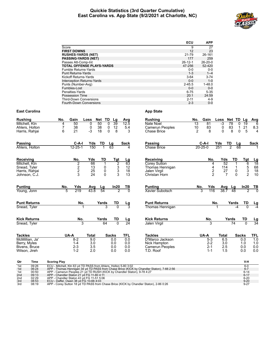### **Quickie Statistics (3rd Quarter Cumulative) East Carolina vs. App State (9/2/2021 at Charlotte, NC)**



|                                   | ECU           | <b>APP</b>    |
|-----------------------------------|---------------|---------------|
| Score                             | 9             | 27            |
| <b>FIRST DOWNS</b>                | 12            | 23            |
| <b>RUSHES-YARDS (NET)</b>         | 21-79         | 26-161        |
| <b>PASSING-YARDS (NET)</b>        | 177           | 259           |
| Passes Att-Comp-Int               | $26 - 12 - 1$ | $26 - 20 - 0$ |
| <b>TOTAL OFFENSE PLAYS-YARDS</b>  | 47-256        | 52-420        |
| Fumble Returns-Yards              | $0 - 0$       | $0-0$         |
| <b>Punt Returns-Yards</b>         | $1 - 3$       | $1 - 4$       |
| Kickoff Returns-Yards             | $3 - 64$      | $3 - 74$      |
| <b>Interception Returns-Yards</b> | $0 - 0$       | $1 - 0$       |
| Punts (Number-Avg)                | $2 - 45.5$    | $1 - 48.0$    |
| Fumbles-Lost                      | $0 - 0$       | $0 - 0$       |
| Penalties-Yards                   | $6 - 75$      | $5 - 35$      |
| Possession Time                   | 20:1          | 24:59         |
| <b>Third-Down Conversions</b>     | $2 - 11$      | $4 - 9$       |
| <b>Fourth-Down Conversions</b>    | $2 - 3$       | $0 - 0$       |

# **East Carolina App State**

| <b>Rushing</b>        | No.                      | Gain                                         | Loss         | Net                    | TD<br>Lg        | Avg                   | <b>Rushing</b>         | No.             | Gain          | Loss         | Net TD          |                 | Lg              | Avg                                                                                    |
|-----------------------|--------------------------|----------------------------------------------|--------------|------------------------|-----------------|-----------------------|------------------------|-----------------|---------------|--------------|-----------------|-----------------|-----------------|----------------------------------------------------------------------------------------|
| Mitchell, Ktn         | 4                        | 50                                           | 0            | 50                     | 39<br>0         | 12.5                  | Nate Noel              | $\overline{13}$ | 81            | $-3$         | 78              | 0               | $\overline{19}$ | $\overline{6}$                                                                         |
| Ahlers, Holton        | $\overline{\mathcal{I}}$ | 38                                           | 0            | 38                     | 12<br>$\pmb{0}$ | 5.4                   | Camerun Peoples        | 10              | 83            | 0            | 83<br>8         | 1               | 21              | 8.3                                                                                    |
| Harris, Rahjai        | 6                        | 21                                           | $-3$         | 18                     | 0<br>8          | 3                     | <b>Chase Brice</b>     | $\overline{2}$  | 8             | $\Omega$     |                 | $\Omega$        | 5               | $\overline{\mathbf{4}}$                                                                |
| <b>Passing</b>        |                          | $C-A-I$                                      | Yds          | TD                     | Lg              | <b>Sack</b>           | Passing                |                 | $C-A-I$       | Yds          | TD              | Lg              |                 | <b>Sack</b>                                                                            |
| Ahlers, Holton        |                          | $12 - 25 - 1$                                | 150          |                        | 63              | 4                     | <b>Chase Brice</b>     | $20 - 25 - 0$   |               | 251          | $\overline{2}$  | $\overline{68}$ |                 |                                                                                        |
| Receiving             |                          | No.                                          | Yds          | TD                     | <u>Tgt</u>      |                       | Receiving              |                 | No.           | Yds          |                 | TD              | Tgt             |                                                                                        |
| Mitchell, Ktn         |                          |                                              | 66           | 1                      | $\overline{2}$  | $\frac{Lg}{63}$       | Corey Sutton           |                 | 4             |              | 52              |                 | 6               | $\begin{array}{r}\n \underline{\mathbf{Lg}} \\  18 \\  68 \\  18 \\  10\n \end{array}$ |
| Snead, Tyler          |                          | $\begin{array}{c}\n2 \\ 2 \\ 3\n\end{array}$ | 13           | 0                      | $_3^3$          | 12                    | Thomas Hennigan        |                 | 4             | 114          |                 |                 | 5               |                                                                                        |
| Harris, Rahjai        |                          |                                              | 25           | 0                      |                 | 18                    | Jalen Virgil           |                 | $\frac{2}{2}$ |              | $\frac{27}{7}$  | 0               | $\frac{3}{2}$   |                                                                                        |
| Johnson, C.J.         |                          |                                              | 24           | $\Omega$               | 3               | 13                    | Christan Horn          |                 |               |              |                 | $\Omega$        |                 |                                                                                        |
| <b>Punting</b>        | No.                      | Yds                                          | Avg          |                        | In20            | $rac{TB}{0}$          | <b>Punting</b>         | No.             | Yds           | Avg          | Lg              |                 | In20            | $\frac{TB}{0}$                                                                         |
| Young, Jonn           | 5                        | 219                                          | 43.8         | $\frac{\text{Lg}}{54}$ | 2               |                       | <b>Xavier Subotsch</b> | 3               | 116           | 38.7         | 48              |                 | 7               |                                                                                        |
| <b>Punt Returns</b>   |                          | No.                                          |              | Yards                  | TD              |                       | <b>Punt Returns</b>    |                 |               | No.          | Yards           |                 | TD              |                                                                                        |
| Snead, Tyler          |                          |                                              |              | 3                      | $\overline{0}$  | $\frac{\text{Lg}}{3}$ | Thomas Hennigan        |                 |               |              |                 | $-4$            |                 | $\frac{Lg}{-4}$                                                                        |
| <b>Kick Returns</b>   |                          | No.                                          |              | Yards                  | TD              |                       | <b>Kick Returns</b>    |                 | No.           |              | Yards           |                 | TD              |                                                                                        |
| Snead, Tyler          |                          | 3                                            |              | 64                     | $\overline{0}$  | $\frac{Lg}{24}$       | Jalen Virgil           |                 | 3             |              | $\overline{74}$ |                 | $\Omega$        | $\frac{\text{Lg}}{34}$                                                                 |
| <b>Tackles</b>        |                          | UA-A                                         | <b>Total</b> |                        | <b>Sacks</b>    | TFL                   | <b>Tackles</b>         |                 | UA-A          | <b>Total</b> |                 | <b>Sacks</b>    |                 | TFL                                                                                    |
| McMillian, Ja'        |                          | $8-2$                                        | 9.0          |                        | 0.0             | 0.0                   | D'Marco Jackson        |                 | $5 - 3$       | 6.5          |                 |                 | 0.0             | 1.0                                                                                    |
| Berry, Myles          |                          | $1 - 4$                                      | 3.0          |                        | 0.0             | 0.0                   | Nick Hampton           |                 | $2 - 2$       | 3.0          |                 |                 | 1.0             | 1.0                                                                                    |
| Bivens, Bruce         |                          | $2 - 3$                                      | 3.5          |                        | 0.0             | 0.0                   | Camerun Peoples        |                 | $2 - 1$       | 2.5          |                 |                 | 0.0             | 0.0                                                                                    |
| Wilson, Jireh         |                          | $1 - 2$                                      | 2.0          |                        | 0.0             | 0.0                   | T.D. Roof              |                 | $1 - 1$       | 1.5          |                 |                 | 0.0             | 0.0                                                                                    |
| $\sim$<br><b>Time</b> | <b>Cooring Diav</b>      |                                              |              |                        |                 |                       |                        |                 |               |              |                 |                 | V <sub>H</sub>  |                                                                                        |

| Qtr | Time  | <b>Scoring Play</b>                                                                       | V-H      |
|-----|-------|-------------------------------------------------------------------------------------------|----------|
| 1st | 09:26 | ECU - Mitchell, Ktn 63 yd TD PASS from Ahlers, Holton 5-80 3:02                           | $6-0$    |
| 1st | 06:24 | APP - Thomas Hennigan 34 yd TD PASS from Chase Brice (KICK by Chandler Staton), 7-66 2:56 | $6 - 7$  |
| 1st | 00:50 | APP - Camerun Peoples 21 yd TD RUSH (KICK by Chandler Staton), 9-78 4:27                  | $6 - 14$ |
| 2nd | 09:13 | APP - Chandler Staton 21 yd FG 11-80 4:11                                                 | $6 - 17$ |
| 2nd | 02:29 | APP - Chandler Staton 43 vd FG 11-51 5:06                                                 | $6 - 20$ |
| 3rd | 08:53 | ECU - Daffer, Owen 38 yd FG 10-66 4:03                                                    | $9 - 20$ |
| 3rd | 08:19 | APP - Corey Sutton 18 yd TD PASS from Chase Brice (KICK by Chandler Staton), 2-86 0:26    | $9 - 27$ |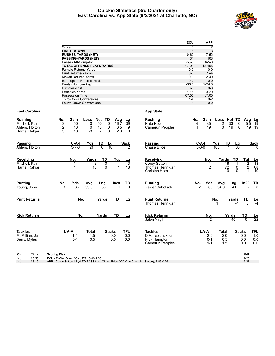# **Quickie Statistics (3rd Quarter only) East Carolina vs. App State (9/2/2021 at Charlotte, NC)**



|                             |                                                                                        |                                        | ECU<br><b>APP</b>                             |                |                                            |                        |
|-----------------------------|----------------------------------------------------------------------------------------|----------------------------------------|-----------------------------------------------|----------------|--------------------------------------------|------------------------|
|                             | Score                                                                                  |                                        | 3                                             | $\overline{7}$ |                                            |                        |
|                             | <b>FIRST DOWNS</b>                                                                     |                                        | 5                                             | 6              |                                            |                        |
|                             | <b>RUSHES-YARDS (NET)</b>                                                              |                                        | 10-60<br>$7 - 52$                             |                |                                            |                        |
|                             | <b>PASSING-YARDS (NET)</b>                                                             |                                        | 31<br>103                                     |                |                                            |                        |
|                             | Passes Att-Comp-Int<br><b>TOTAL OFFENSE PLAYS-YARDS</b>                                |                                        | $6 - 5 - 0$<br>$7 - 3 - 0$<br>17-91<br>13-155 |                |                                            |                        |
|                             | Fumble Returns-Yards                                                                   |                                        | $0-0$<br>$0-0$                                |                |                                            |                        |
|                             | <b>Punt Returns-Yards</b>                                                              |                                        | $0-0$<br>$1 - 4$                              |                |                                            |                        |
|                             | Kickoff Returns-Yards                                                                  |                                        | $0-0$<br>$2 - 40$                             |                |                                            |                        |
|                             | Interception Returns-Yards                                                             |                                        | $0-0$<br>$0-0$                                |                |                                            |                        |
|                             | Punts (Number-Avg)                                                                     |                                        | $1 - 33.0$<br>$2 - 34.0$                      |                |                                            |                        |
|                             | Fumbles-Lost                                                                           |                                        | $0-0$<br>$0 - 0$                              |                |                                            |                        |
|                             | Penalties-Yards                                                                        |                                        | $3 - 20$<br>$1 - 15$<br>07:05                 |                |                                            |                        |
|                             | Possession Time<br><b>Third-Down Conversions</b>                                       |                                        | 07:55<br>$0 - 2$<br>$1 - 4$                   |                |                                            |                        |
|                             | Fourth-Down Conversions                                                                |                                        | $1 - 1$<br>$0-0$                              |                |                                            |                        |
| East Carolina               |                                                                                        | <b>App State</b>                       |                                               |                |                                            |                        |
| Rushing                     | Gain<br>No.<br>Loss<br>Net<br>TD.<br>Ava<br>Lg                                         | <b>Rushing</b>                         | Gain<br>No.                                   | Net TD<br>Loss | Ava                                        | Lg                     |
| Mitchell, Ktn               | 3<br>50<br>50<br>16.7<br>39<br>0<br>0                                                  | Nate Noel                              | 6<br>35                                       | -2<br>33       | 0<br>5.5                                   | 19                     |
| Ahlers, Holton              | $\boldsymbol{2}$<br>13<br>13<br>9<br>0<br>0<br>6.5                                     | <b>Camerun Peoples</b>                 | $\mathbf{1}$<br>19                            | 0<br>19        | 0                                          | 19 19                  |
| Harris, Rahjai              | 8<br>3<br>-3<br>$\overline{7}$<br>$\Omega$<br>2.3<br>10                                |                                        |                                               |                |                                            |                        |
| Passing                     | Yds<br>C-A-I<br>TD<br>Sack<br>Lg                                                       | Passing                                | C-A-I                                         | Yds<br>TD      | Lg                                         | Sack                   |
| Ahlers, Holton              | $3 - 7 - 0$<br>21<br>0<br>18                                                           | <b>Chase Brice</b>                     | $5 - 6 - 0$                                   | 103            | 68                                         |                        |
|                             |                                                                                        |                                        |                                               |                |                                            |                        |
| Receiving                   | No.<br>TD<br>Yards<br>Tgt<br>Lg                                                        | Receiving                              | No.                                           | Yards          | TD<br>Tgt                                  | $\frac{\text{Lg}}{18}$ |
| Mitchell, Ktn               | 1<br>3<br>0<br>3<br>1                                                                  | <b>Corey Sutton</b>                    | 1                                             | 18             | 2                                          |                        |
| Harris, Rahjai              | 18<br>0<br>18<br>1<br>$\mathbf 1$                                                      | Thomas Hennigan<br>Christan Horn       | $\overline{c}$<br>1                           | 72<br>10       | $\boldsymbol{2}$<br>0<br>$\mathbf{1}$<br>0 | 68<br>10               |
|                             |                                                                                        |                                        |                                               |                |                                            |                        |
| Punting                     | No.<br>Yds<br>ln20<br>ТВ<br>Avg<br>Lng                                                 | <b>Punting</b>                         | Yds<br>No.                                    | Avg<br>Lng     | In20                                       | TВ                     |
| Young, Jonn                 | 33<br>33.0<br>33<br>$\Omega$                                                           | Xavier Subotsch                        | 68<br>$\mathcal{P}$                           | 34.0           | 41<br>2                                    |                        |
| <b>Punt Returns</b>         | No.<br>Yards<br>TD<br>Lg                                                               | <b>Punt Returns</b>                    |                                               | No.<br>Yards   | TD                                         |                        |
|                             |                                                                                        | Thomas Hennigan                        |                                               |                |                                            | $\frac{Lg}{-4}$        |
|                             |                                                                                        |                                        |                                               |                |                                            |                        |
| <b>Kick Returns</b>         | No.<br>Yards<br>TD<br>Lg                                                               | <b>Kick Returns</b>                    | No.                                           | Yards          | TD                                         |                        |
|                             |                                                                                        | Jalen Virgil                           | $\mathfrak{p}$                                | 40             | $\Omega$                                   | $\frac{\text{Lg}}{22}$ |
|                             |                                                                                        |                                        |                                               |                |                                            |                        |
| Tackles                     | UA-A<br>Total<br><b>Sacks</b><br>TFL                                                   | <b>Tackles</b>                         | UA-A                                          | Total          | Sacks                                      | <b>TFL</b>             |
| McMillian, Ja'              | 1.5<br>0.0<br>0.0<br>$1 - 1$                                                           | D'Marco Jackson                        | $2 - 0$                                       | 2.0            | 0.0                                        | 1.0                    |
| Berry, Myles                | $0 - 1$<br>0.5<br>0.0<br>0.0                                                           | Nick Hampton<br><b>Camerun Peoples</b> | $0 - 1$<br>$1 - 1$                            | 0.5<br>1.5     | 0.0<br>0.0                                 | 0.0<br>0.0             |
|                             |                                                                                        |                                        |                                               |                |                                            |                        |
| Time<br>Qtr<br>3rd<br>08:53 | <b>Scoring Play</b><br>ECU - Daffer, Owen 38 yd FG 10-66 4:03                          |                                        |                                               |                | V-H<br>$9 - 20$                            |                        |
| 08:19<br>3rd                | APP - Corey Sutton 18 yd TD PASS from Chase Brice (KICK by Chandler Staton), 2-86 0:26 |                                        |                                               |                | $9 - 27$                                   |                        |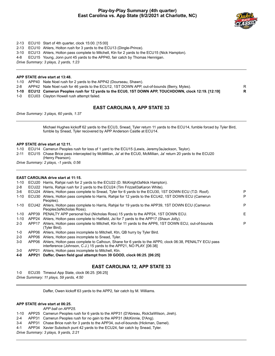# **Play-by-Play Summary (4th quarter) East Carolina vs. App State (9/2/2021 at Charlotte, NC)**



- 2-13 ECU10 Start of 4th quarter, clock 15:00. [15:00]
- 2-13 ECU10 Ahlers, Holton rush for 3 yards to the ECU13 (Dingle-Prince).
- 3-10 ECU13 Ahlers, Holton pass complete to Mitchell, Ktn for 2 yards to the ECU15 (Nick Hampton).
- 4-8 ECU15 Young, Jonn punt 45 yards to the APP40, fair catch by Thomas Hennigan.

*Drive Summary: 3 plays, 2 yards, 1:23*

### **APP STATE drive start at 13:48.**

- 1-10 APP40 Nate Noel rush for 2 yards to the APP42 (Dourseau, Shawn).
- 2-8 APP42 Nate Noel rush for 46 yards to the ECU12, 1ST DOWN APP, out-of-bounds (Berry, Myles).
- **1-10 ECU12 Camerun Peoples rush for 12 yards to the ECU0, 1ST DOWN APP, TOUCHDOWN, clock 12:19. [12:19] R**
- 1-0 ECU03 Clayton Howell rush attempt failed.

# **EAST CAROLINA 9, APP STATE 33**

*Drive Summary: 3 plays, 60 yards, 1:37*

Michael Hughes kickoff 62 yards to the ECU3, Snead, Tyler return 11 yards to the ECU14, fumble forced by Tyler Bird, fumble by Snead, Tyler recovered by APP Anderson Castle at ECU14.

### **APP STATE drive start at 12:11.**

1-10 ECU14 Camerun Peoples rush for loss of 1 yard to the ECU15 (Lewis, Jeremy3aJackson, Teylor).

2-11 ECU15 Chase Brice pass intercepted by McMillian, Ja' at the ECU0, McMillian, Ja' return 20 yards to the ECU20 (Henry Pearson).

*Drive Summary: 2 plays, -1 yards, 0:56*

### **EAST CAROLINA drive start at 11:15.**

- 1-10 ECU20 Harris, Rahjai rush for 2 yards to the ECU22 (D. McKnight3aNick Hampton).
- 2-8 ECU22 Harris, Rahjai rush for 2 yards to the ECU24 (Tim Frizzell3aKaron White).

| $3-6$   |       | ECU24 Ahlers, Holton pass complete to Snead, Tyler for 6 yards to the ECU30, 1ST DOWN ECU (T.D. Roof).                            | P  |
|---------|-------|-----------------------------------------------------------------------------------------------------------------------------------|----|
| 1-10    |       | ECU30 Ahlers, Holton pass complete to Harris, Rahjai for 12 yards to the ECU42, 1ST DOWN ECU (Camerun<br>Peoples).                | P  |
| 1-10    |       | ECU42 Ahlers, Holton pass complete to Harris, Rahjai for 19 yards to the APP39, 1ST DOWN ECU (Camerun<br>Peoples3aNicholas Ross). | P  |
| 1-10    |       | APP39 PENALTY APP personal foul (Nicholas Ross) 15 yards to the APP24, 1ST DOWN ECU.                                              | F. |
| 1-10    |       | APP24 Ahlers, Holton pass complete to Hatfield, Jsi for 7 yards to the APP17 (Shaun Jolly).                                       |    |
| $2 - 3$ | APP17 | Ahlers, Holton pass complete to Mitchell, Ktn for 11 yards to the APP6, 1ST DOWN ECU, out-of-bounds<br>(Tvler Bird).              | P  |
|         |       |                                                                                                                                   |    |

- 1-0 APP06 Ahlers, Holton pass incomplete to Mitchell, Ktn, QB hurry by Tyler Bird.
- 2-0 APP06 Ahlers, Holton pass incomplete to Snead, Tyler.
- 3-0 APP06 Ahlers, Holton pass complete to Calhoun, Shane for 6 yards to the APP0, clock 06:38, PENALTY ECU pass interference (Johnson, C.J.) 15 yards to the APP21, NO PLAY. [06:38]
- 3-0 APP21 Ahlers, Holton pass incomplete to Mitchell, Ktn.
- **4-0 APP21 Daffer, Owen field goal attempt from 39 GOOD, clock 06:25. [06:25]**

### **EAST CAROLINA 12, APP STATE 33**

1-0 ECU35 Timeout App State, clock 06:25. [06:25] *Drive Summary: 11 plays, 59 yards, 4:50*

Daffer, Owen kickoff 63 yards to the APP2, fair catch by M. Williams.

### **APP STATE drive start at 06:25.**

### *APP ball on APP25.*

- 1-10 APP25 Camerun Peoples rush for 6 yards to the APP31 (D'Abreau, Rick3aWilson, Jireh).
- 2-4 APP31 Camerun Peoples rush for no gain to the APP31 (McKinnie, D'Ang).
- 3-4 APP31 Chase Brice rush for 3 yards to the APP34, out-of-bounds (Hickman, Damel).
- 4-1 APP34 Xavier Subotsch punt 42 yards to the ECU24, fair catch by Snead, Tyler.

*Drive Summary: 3 plays, 9 yards, 2:21*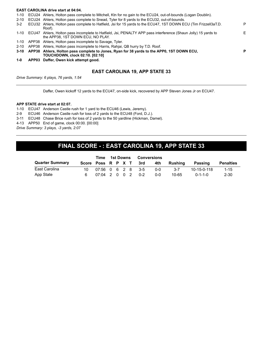### **EAST CAROLINA drive start at 04:04.**

| $1 - 0$  | APP03 Daffer, Owen kick attempt good.                                                                                                               |    |
|----------|-----------------------------------------------------------------------------------------------------------------------------------------------------|----|
|          | <b>TOUCHDOWN, clock 02:10. [02:10]</b>                                                                                                              |    |
|          | 3-10 APP38 Ahlers, Holton pass complete to Jones, Ryan for 38 yards to the APP0, 1ST DOWN ECU,                                                      | P  |
| $2 - 10$ | APP38 Ahlers, Holton pass incomplete to Harris, Rahjai, QB hurry by T.D. Roof.                                                                      |    |
| 1-10     | APP38 Ahlers, Holton pass incomplete to Savage, Tyler.                                                                                              |    |
| 1-10     | ECU47 Ahlers, Holton pass incomplete to Hatfield, Jsi, PENALTY APP pass interference (Shaun Jolly) 15 yards to<br>the APP38, 1ST DOWN ECU, NO PLAY. | F. |
| $3-2$    | ECU32 Ahlers, Holton pass complete to Hatfield, Jsi for 15 yards to the ECU47, 1ST DOWN ECU (Tim Frizzell3aT.D.<br>Roof).                           | P  |
| $2 - 10$ | ECU24 Ahlers, Holton pass complete to Snead, Tyler for 8 yards to the ECU32, out-of-bounds.                                                         |    |
|          | 1-10 ECU24 Ahlers, Holton pass complete to Mitchell, Ktn for no gain to the ECU24, out-of-bounds (Logan Doublin).                                   |    |

# **EAST CAROLINA 19, APP STATE 33**

*Drive Summary: 6 plays, 76 yards, 1:54*

Daffer, Owen kickoff 12 yards to the ECU47, on-side kick, recovered by APP Steven Jones Jr on ECU47.

### **APP STATE drive start at 02:07.**

- 1-10 ECU47 Anderson Castle rush for 1 yard to the ECU46 (Lewis, Jeremy).
- 2-9 ECU46 Anderson Castle rush for loss of 2 yards to the ECU48 (Ford, D.J.).
- 3-11 ECU48 Chase Brice rush for loss of 2 yards to the 50 yardline (Hickman, Damel).

4-13 APP50 End of game, clock 00:00. [00:00]

*Drive Summary: 3 plays, -3 yards, 2:07*

# **FINAL SCORE - : EAST CAROLINA 19, APP STATE 33**

|                        | Time                   | 1st Downs<br>Conversions |  |  |  |  |            |         |                 |                  |
|------------------------|------------------------|--------------------------|--|--|--|--|------------|---------|-----------------|------------------|
| <b>Quarter Summary</b> | Score Poss R P X T 3rd |                          |  |  |  |  | 4th        | Rushina | Passing         | <b>Penalties</b> |
| East Carolina          | 10                     | 07:56 0 6 2 8 3-5        |  |  |  |  | <u>ດ-ດ</u> | $3 - 7$ | 10-15-0-118     | $1 - 15$         |
| App State              |                        | $07:04$ 2 0 0 2 0-2      |  |  |  |  | $0 - 0$    | 10-65   | $0 - 1 - 1 - 0$ | 2-30             |